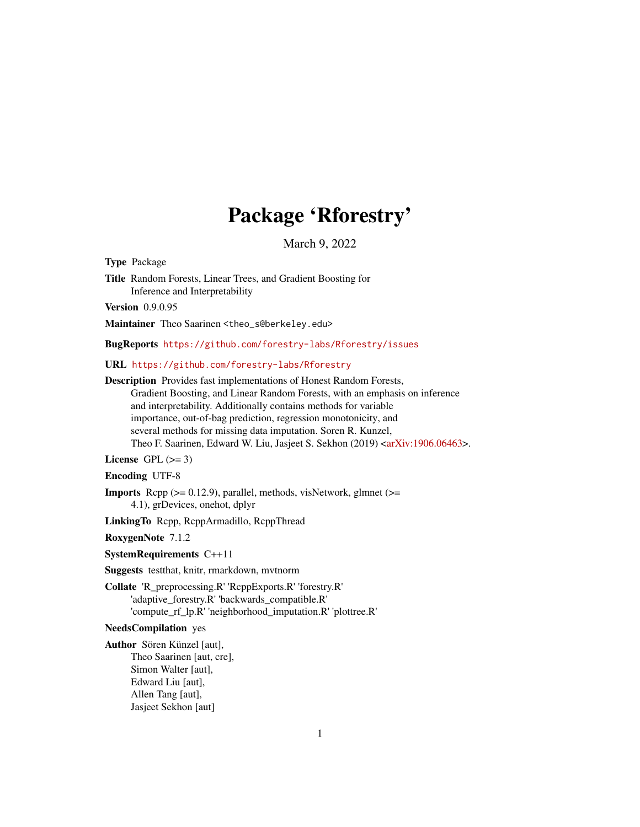# Package 'Rforestry'

March 9, 2022

Type Package

Title Random Forests, Linear Trees, and Gradient Boosting for Inference and Interpretability

Version 0.9.0.95

Maintainer Theo Saarinen <theo\_s@berkeley.edu>

BugReports <https://github.com/forestry-labs/Rforestry/issues>

URL <https://github.com/forestry-labs/Rforestry>

Description Provides fast implementations of Honest Random Forests, Gradient Boosting, and Linear Random Forests, with an emphasis on inference and interpretability. Additionally contains methods for variable importance, out-of-bag prediction, regression monotonicity, and several methods for missing data imputation. Soren R. Kunzel, Theo F. Saarinen, Edward W. Liu, Jasjeet S. Sekhon (2019) [<arXiv:1906.06463>](https://arxiv.org/abs/1906.06463).

License GPL  $(>= 3)$ 

Encoding UTF-8

**Imports** Rcpp  $(>= 0.12.9)$ , parallel, methods, visNetwork, glmnet  $(>=$ 4.1), grDevices, onehot, dplyr

LinkingTo Rcpp, RcppArmadillo, RcppThread

RoxygenNote 7.1.2

SystemRequirements C++11

Suggests testthat, knitr, rmarkdown, mvtnorm

Collate 'R\_preprocessing.R' 'RcppExports.R' 'forestry.R' 'adaptive\_forestry.R' 'backwards\_compatible.R' 'compute\_rf\_lp.R' 'neighborhood\_imputation.R' 'plottree.R'

#### NeedsCompilation yes

Author Sören Künzel [aut], Theo Saarinen [aut, cre], Simon Walter [aut], Edward Liu [aut], Allen Tang [aut], Jasjeet Sekhon [aut]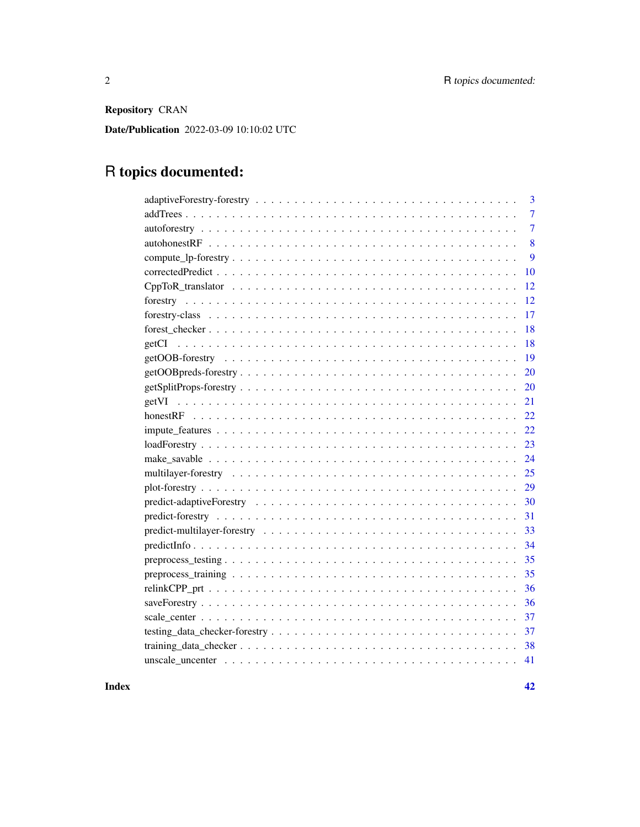Repository CRAN

Date/Publication 2022-03-09 10:10:02 UTC

# R topics documented:

| 3              |
|----------------|
| $\overline{7}$ |
| $\overline{7}$ |
| 8              |
| 9              |
| 10             |
| 12             |
| 12             |
| 17             |
| 18             |
| 18             |
| <b>19</b>      |
| <b>20</b>      |
| 20             |
| 21             |
| 22             |
|                |
| 23             |
| 24             |
|                |
|                |
|                |
| 31             |
|                |
|                |
| 35             |
| 35             |
|                |
|                |
|                |
|                |
|                |
|                |
|                |

**Index** [42](#page-41-0)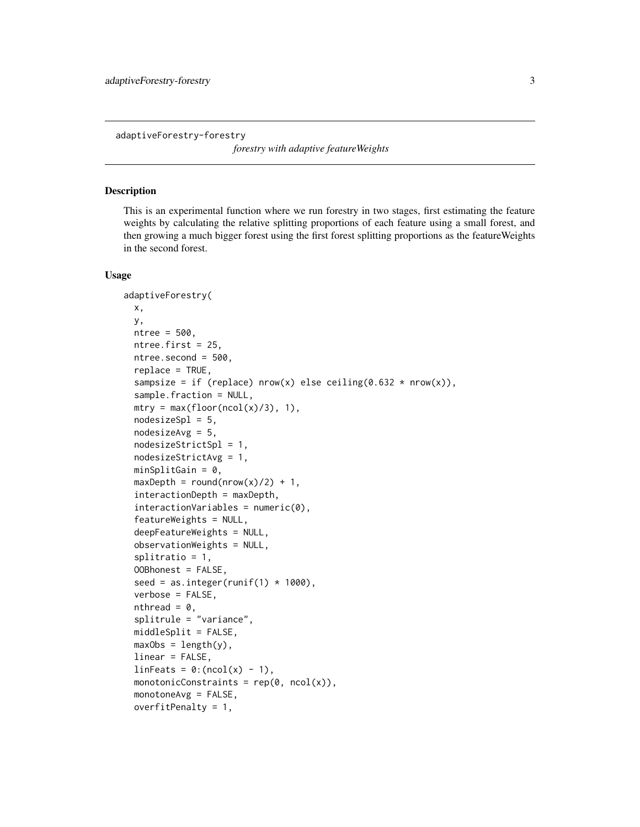<span id="page-2-0"></span>adaptiveForestry-forestry

*forestry with adaptive featureWeights*

#### Description

This is an experimental function where we run forestry in two stages, first estimating the feature weights by calculating the relative splitting proportions of each feature using a small forest, and then growing a much bigger forest using the first forest splitting proportions as the featureWeights in the second forest.

### Usage

```
adaptiveForestry(
  x,
 y,
 ntree = 500,
 ntree.first = 25,
  ntree.second = 500,
  replace = TRUE,
  sampsize = if (replace) nrow(x) else ceiling(0.632 * nrow(x)),
  sample.fraction = NULL,
  mtry = max(float(ncol(x)/3), 1),nodesizeSpl = 5,
  nodesizeAvg = 5,
  nodesizeStrictSpl = 1,
  nodesizeStrictAvg = 1,
  minSplitGain = 0,
  maxDepth = round(nrow(x)/2) + 1,interactionDepth = maxDepth,
  interactionsVariables = numeric(0),
  featureWeights = NULL,
  deepFeatureWeights = NULL,
  observationWeights = NULL,
  splitratio = 1,
  OOBhonest = FALSE,
  seed = as.integer(runif(1) * 1000),
  verbose = FALSE,
  nthread = 0,
  splitrule = "variance",
 middleSplit = FALSE,
 maxObs = length(y),
  linear = FALSE,
  linFeatures = 0:(ncol(x) - 1),monotonicConstraints = rep(\emptyset, ncol(x)),monotoneAvg = FALSE,
  overfitPenalty = 1,
```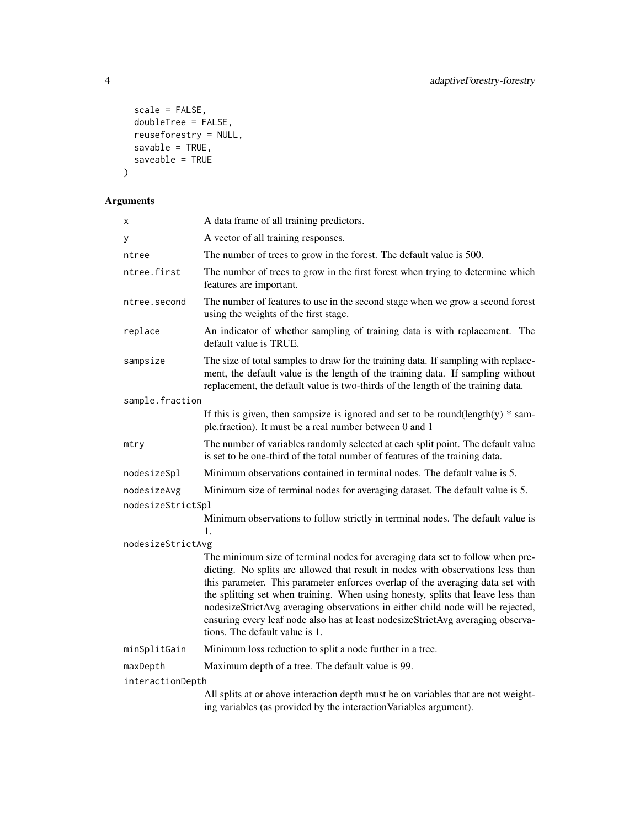```
scale = FALSE,
  doubleTree = FALSE,
 reuseforestry = NUL,
  savable = TRUE,
 saveable = TRUE\mathcal{L}
```

| х                 | A data frame of all training predictors.                                                                                                                                                                                                                                                                                                                                                                                                                                                                                                       |  |
|-------------------|------------------------------------------------------------------------------------------------------------------------------------------------------------------------------------------------------------------------------------------------------------------------------------------------------------------------------------------------------------------------------------------------------------------------------------------------------------------------------------------------------------------------------------------------|--|
| у                 | A vector of all training responses.                                                                                                                                                                                                                                                                                                                                                                                                                                                                                                            |  |
| ntree             | The number of trees to grow in the forest. The default value is 500.                                                                                                                                                                                                                                                                                                                                                                                                                                                                           |  |
| ntree.first       | The number of trees to grow in the first forest when trying to determine which<br>features are important.                                                                                                                                                                                                                                                                                                                                                                                                                                      |  |
| ntree.second      | The number of features to use in the second stage when we grow a second forest<br>using the weights of the first stage.                                                                                                                                                                                                                                                                                                                                                                                                                        |  |
| replace           | An indicator of whether sampling of training data is with replacement. The<br>default value is TRUE.                                                                                                                                                                                                                                                                                                                                                                                                                                           |  |
| sampsize          | The size of total samples to draw for the training data. If sampling with replace-<br>ment, the default value is the length of the training data. If sampling without<br>replacement, the default value is two-thirds of the length of the training data.                                                                                                                                                                                                                                                                                      |  |
| sample.fraction   |                                                                                                                                                                                                                                                                                                                                                                                                                                                                                                                                                |  |
|                   | If this is given, then sampsize is ignored and set to be round(length(y) $*$ sam-<br>ple.fraction). It must be a real number between 0 and 1                                                                                                                                                                                                                                                                                                                                                                                                   |  |
| mtry              | The number of variables randomly selected at each split point. The default value<br>is set to be one-third of the total number of features of the training data.                                                                                                                                                                                                                                                                                                                                                                               |  |
| nodesizeSpl       | Minimum observations contained in terminal nodes. The default value is 5.                                                                                                                                                                                                                                                                                                                                                                                                                                                                      |  |
| nodesizeAvg       | Minimum size of terminal nodes for averaging dataset. The default value is 5.                                                                                                                                                                                                                                                                                                                                                                                                                                                                  |  |
| nodesizeStrictSpl |                                                                                                                                                                                                                                                                                                                                                                                                                                                                                                                                                |  |
|                   | Minimum observations to follow strictly in terminal nodes. The default value is<br>1.                                                                                                                                                                                                                                                                                                                                                                                                                                                          |  |
| nodesizeStrictAvg |                                                                                                                                                                                                                                                                                                                                                                                                                                                                                                                                                |  |
|                   | The minimum size of terminal nodes for averaging data set to follow when pre-<br>dicting. No splits are allowed that result in nodes with observations less than<br>this parameter. This parameter enforces overlap of the averaging data set with<br>the splitting set when training. When using honesty, splits that leave less than<br>nodesizeStrictAvg averaging observations in either child node will be rejected,<br>ensuring every leaf node also has at least nodesizeStrictAvg averaging observa-<br>tions. The default value is 1. |  |
| minSplitGain      | Minimum loss reduction to split a node further in a tree.                                                                                                                                                                                                                                                                                                                                                                                                                                                                                      |  |
| maxDepth          | Maximum depth of a tree. The default value is 99.                                                                                                                                                                                                                                                                                                                                                                                                                                                                                              |  |
| interactionDepth  |                                                                                                                                                                                                                                                                                                                                                                                                                                                                                                                                                |  |
|                   | All splits at or above interaction depth must be on variables that are not weight-<br>ing variables (as provided by the interaction Variables argument).                                                                                                                                                                                                                                                                                                                                                                                       |  |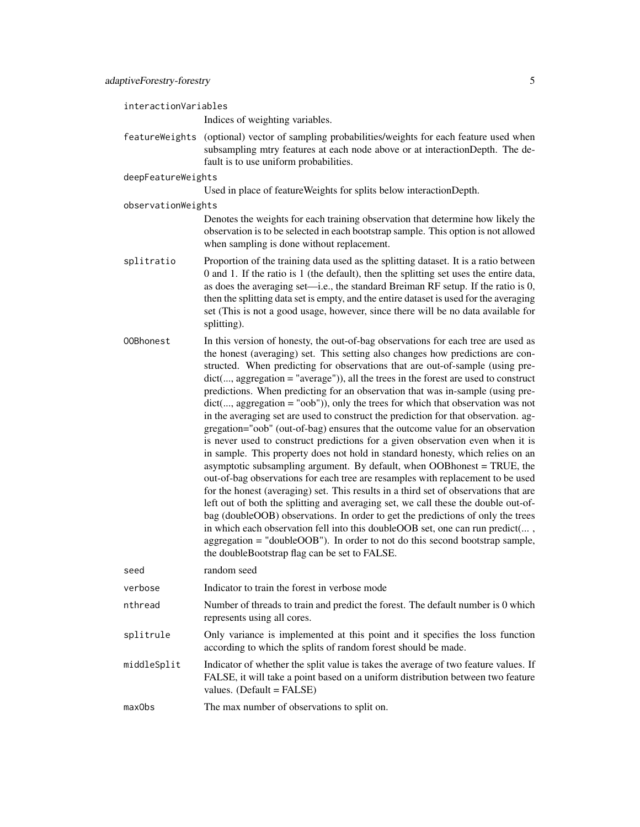interactionVariables

Indices of weighting variables.

- featureWeights (optional) vector of sampling probabilities/weights for each feature used when subsampling mtry features at each node above or at interactionDepth. The default is to use uniform probabilities.
- deepFeatureWeights

Used in place of featureWeights for splits below interactionDepth.

observationWeights

Denotes the weights for each training observation that determine how likely the observation is to be selected in each bootstrap sample. This option is not allowed when sampling is done without replacement.

- splitratio Proportion of the training data used as the splitting dataset. It is a ratio between 0 and 1. If the ratio is 1 (the default), then the splitting set uses the entire data, as does the averaging set—i.e., the standard Breiman RF setup. If the ratio is 0, then the splitting data set is empty, and the entire dataset is used for the averaging set (This is not a good usage, however, since there will be no data available for splitting).
- OOBhonest In this version of honesty, the out-of-bag observations for each tree are used as the honest (averaging) set. This setting also changes how predictions are constructed. When predicting for observations that are out-of-sample (using predict(..., aggregation = "average")), all the trees in the forest are used to construct predictions. When predicting for an observation that was in-sample (using predict(..., aggregation = "oob")), only the trees for which that observation was not in the averaging set are used to construct the prediction for that observation. aggregation="oob" (out-of-bag) ensures that the outcome value for an observation is never used to construct predictions for a given observation even when it is in sample. This property does not hold in standard honesty, which relies on an asymptotic subsampling argument. By default, when OOBhonest = TRUE, the out-of-bag observations for each tree are resamples with replacement to be used for the honest (averaging) set. This results in a third set of observations that are left out of both the splitting and averaging set, we call these the double out-ofbag (doubleOOB) observations. In order to get the predictions of only the trees in which each observation fell into this doubleOOB set, one can run predict(... , aggregation = "doubleOOB"). In order to not do this second bootstrap sample, the doubleBootstrap flag can be set to FALSE.

| seed        | random seed                                                                                                                                                                                            |
|-------------|--------------------------------------------------------------------------------------------------------------------------------------------------------------------------------------------------------|
| verbose     | Indicator to train the forest in verbose mode                                                                                                                                                          |
| nthread     | Number of threads to train and predict the forest. The default number is 0 which<br>represents using all cores.                                                                                        |
| splitrule   | Only variance is implemented at this point and it specifies the loss function<br>according to which the splits of random forest should be made.                                                        |
| middleSplit | Indicator of whether the split value is takes the average of two feature values. If<br>FALSE, it will take a point based on a uniform distribution between two feature<br>values. (Default = $FALSE$ ) |
| maxObs      | The max number of observations to split on.                                                                                                                                                            |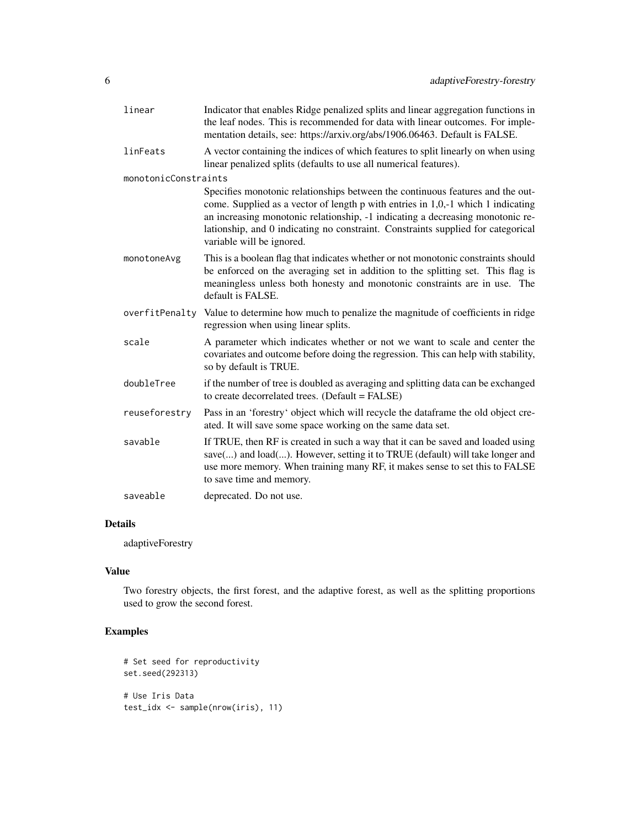| linear               | Indicator that enables Ridge penalized splits and linear aggregation functions in<br>the leaf nodes. This is recommended for data with linear outcomes. For imple-<br>mentation details, see: https://arxiv.org/abs/1906.06463. Default is FALSE.                                                                                                                     |
|----------------------|-----------------------------------------------------------------------------------------------------------------------------------------------------------------------------------------------------------------------------------------------------------------------------------------------------------------------------------------------------------------------|
| linFeats             | A vector containing the indices of which features to split linearly on when using<br>linear penalized splits (defaults to use all numerical features).                                                                                                                                                                                                                |
| monotonicConstraints |                                                                                                                                                                                                                                                                                                                                                                       |
|                      | Specifies monotonic relationships between the continuous features and the out-<br>come. Supplied as a vector of length p with entries in 1,0,-1 which 1 indicating<br>an increasing monotonic relationship, -1 indicating a decreasing monotonic re-<br>lationship, and 0 indicating no constraint. Constraints supplied for categorical<br>variable will be ignored. |
| monotoneAvg          | This is a boolean flag that indicates whether or not monotonic constraints should<br>be enforced on the averaging set in addition to the splitting set. This flag is<br>meaningless unless both honesty and monotonic constraints are in use. The<br>default is FALSE.                                                                                                |
| overfitPenalty       | Value to determine how much to penalize the magnitude of coefficients in ridge<br>regression when using linear splits.                                                                                                                                                                                                                                                |
| scale                | A parameter which indicates whether or not we want to scale and center the<br>covariates and outcome before doing the regression. This can help with stability,<br>so by default is TRUE.                                                                                                                                                                             |
| doubleTree           | if the number of tree is doubled as averaging and splitting data can be exchanged<br>to create decorrelated trees. (Default = FALSE)                                                                                                                                                                                                                                  |
| reuseforestry        | Pass in an 'forestry' object which will recycle the dataframe the old object cre-<br>ated. It will save some space working on the same data set.                                                                                                                                                                                                                      |
| savable              | If TRUE, then RF is created in such a way that it can be saved and loaded using<br>save() and load(). However, setting it to TRUE (default) will take longer and<br>use more memory. When training many RF, it makes sense to set this to FALSE<br>to save time and memory.                                                                                           |
| saveable             | deprecated. Do not use.                                                                                                                                                                                                                                                                                                                                               |

### Details

adaptiveForestry

## Value

Two forestry objects, the first forest, and the adaptive forest, as well as the splitting proportions used to grow the second forest.

### Examples

```
# Set seed for reproductivity
set.seed(292313)
# Use Iris Data
test_idx <- sample(nrow(iris), 11)
```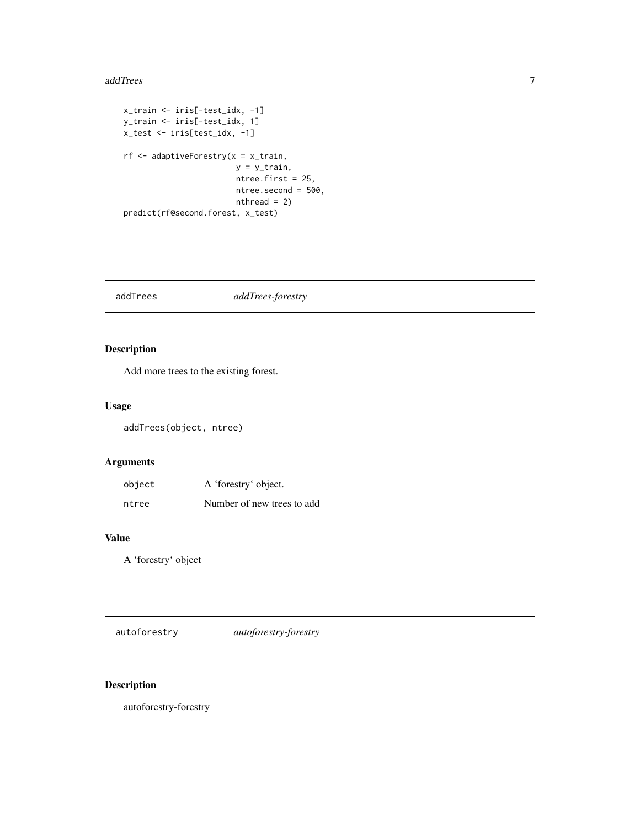#### <span id="page-6-0"></span>addTrees 7

```
x_train <- iris[-test_idx, -1]
y_train <- iris[-test_idx, 1]
x_test <- iris[test_idx, -1]
rf <- adaptiveForestry(x = x_train,
                        y = y_{rtrain},
                        ntree.first = 25,
                        ntree.second = 500,
                        nthread = 2)
predict(rf@second.forest, x_test)
```
addTrees *addTrees-forestry*

### Description

Add more trees to the existing forest.

### Usage

addTrees(object, ntree)

### Arguments

| object | A 'forestry' object.       |
|--------|----------------------------|
| ntree  | Number of new trees to add |

### Value

A 'forestry' object

autoforestry *autoforestry-forestry*

### Description

autoforestry-forestry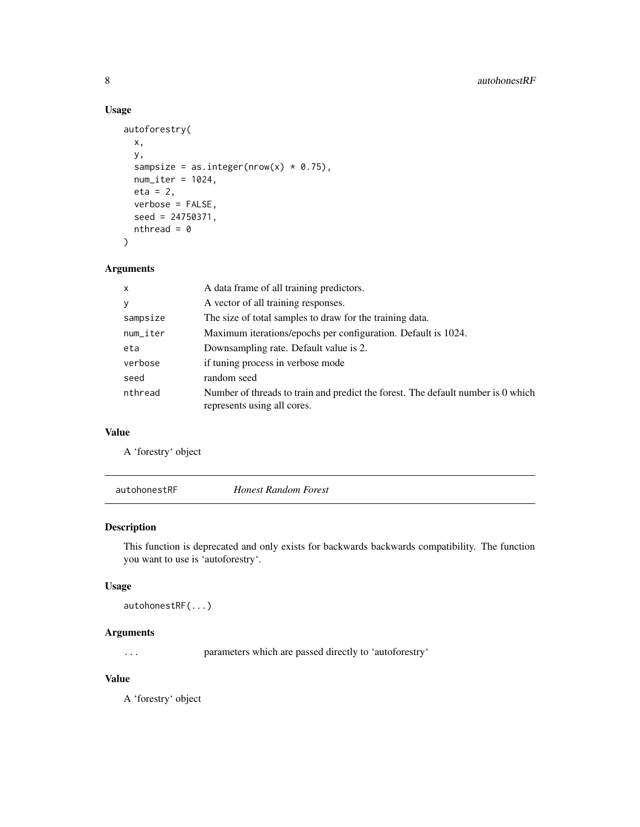### Usage

```
autoforestry(
 x,
 y,
  sampsize = as.integer(nrow(x) * 0.75),
 num\_iter = 1024,eta = 2,
 verbose = FALSE,
  seed = 24750371,
 nthread = 0
\mathcal{L}
```
### Arguments

| $\boldsymbol{\mathsf{x}}$ | A data frame of all training predictors.                                                                        |
|---------------------------|-----------------------------------------------------------------------------------------------------------------|
| y                         | A vector of all training responses.                                                                             |
| sampsize                  | The size of total samples to draw for the training data.                                                        |
| num_iter                  | Maximum iterations/epochs per configuration. Default is 1024.                                                   |
| eta                       | Downsampling rate. Default value is 2.                                                                          |
| verbose                   | if tuning process in verbose mode                                                                               |
| seed                      | random seed                                                                                                     |
| nthread                   | Number of threads to train and predict the forest. The default number is 0 which<br>represents using all cores. |

### Value

A 'forestry' object

autohonestRF *Honest Random Forest*

### Description

This function is deprecated and only exists for backwards backwards compatibility. The function you want to use is 'autoforestry'.

### Usage

```
autohonestRF(...)
```
### Arguments

... parameters which are passed directly to 'autoforestry'

### Value

A 'forestry' object

<span id="page-7-0"></span>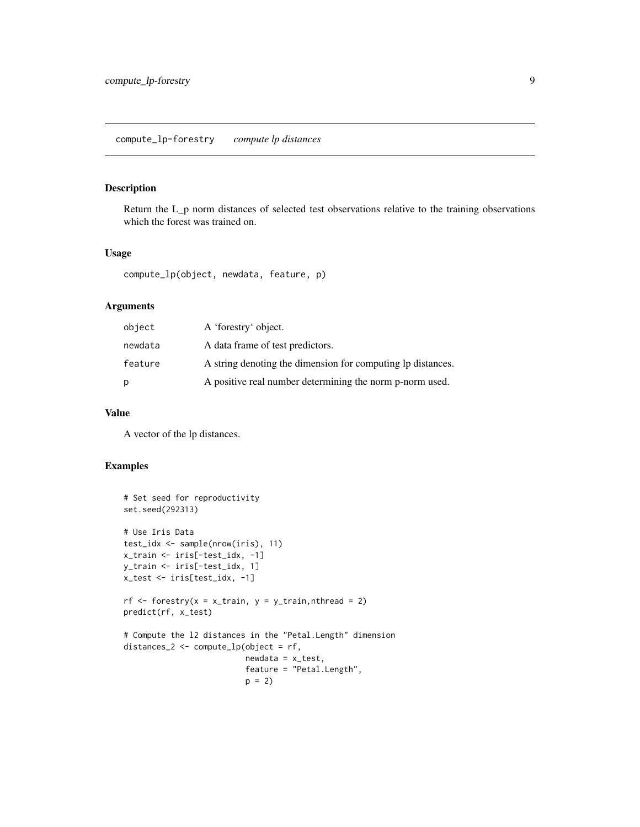### <span id="page-8-0"></span>compute\_lp-forestry *compute lp distances*

### Description

Return the L\_p norm distances of selected test observations relative to the training observations which the forest was trained on.

### Usage

compute\_lp(object, newdata, feature, p)

### Arguments

| object  | A 'forestry' object.                                        |
|---------|-------------------------------------------------------------|
| newdata | A data frame of test predictors.                            |
| feature | A string denoting the dimension for computing to distances. |
| р       | A positive real number determining the norm p-norm used.    |

### Value

A vector of the lp distances.

### Examples

```
# Set seed for reproductivity
set.seed(292313)
# Use Iris Data
test_idx <- sample(nrow(iris), 11)
x_train <- iris[-test_idx, -1]
y_train <- iris[-test_idx, 1]
x_test <- iris[test_idx, -1]
rf \le forestry(x = x_train, y = y_train, nthread = 2)
predict(rf, x_test)
# Compute the l2 distances in the "Petal.Length" dimension
distances_2 <- compute_lp(object = rf,
                          newdata = x_test,feature = "Petal.Length",
                          p = 2
```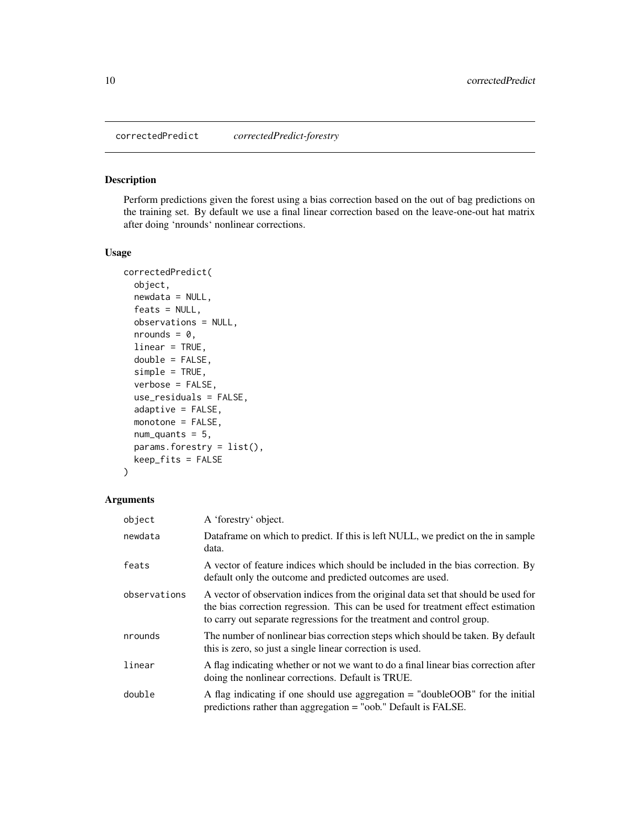<span id="page-9-0"></span>correctedPredict *correctedPredict-forestry*

### Description

Perform predictions given the forest using a bias correction based on the out of bag predictions on the training set. By default we use a final linear correction based on the leave-one-out hat matrix after doing 'nrounds' nonlinear corrections.

### Usage

```
correctedPredict(
 object,
  newdata = NULL,feats = NULL,
  observations = NULL,
  nrounds = 0,
  linear = TRUE,
  double = FALSE,
  simple = TRUE,
  verbose = FALSE,
  use_residuals = FALSE,
  adaptive = FALSE,
 monotone = FALSE,
  num\_quants = 5,
  params.forestry = list(),
  keep_fits = FALSE
)
```

| object       | A 'forestry' object.                                                                                                                                                                                                                             |
|--------------|--------------------------------------------------------------------------------------------------------------------------------------------------------------------------------------------------------------------------------------------------|
| newdata      | Dataframe on which to predict. If this is left NULL, we predict on the in sample<br>data.                                                                                                                                                        |
| feats        | A vector of feature indices which should be included in the bias correction. By<br>default only the outcome and predicted outcomes are used.                                                                                                     |
| observations | A vector of observation indices from the original data set that should be used for<br>the bias correction regression. This can be used for treatment effect estimation<br>to carry out separate regressions for the treatment and control group. |
| nrounds      | The number of nonlinear bias correction steps which should be taken. By default<br>this is zero, so just a single linear correction is used.                                                                                                     |
| linear       | A flag indicating whether or not we want to do a final linear bias correction after<br>doing the nonlinear corrections. Default is TRUE.                                                                                                         |
| double       | A flag indicating if one should use aggregation $=$ "doubleOOB" for the initial<br>predictions rather than aggregation = "oob." Default is FALSE.                                                                                                |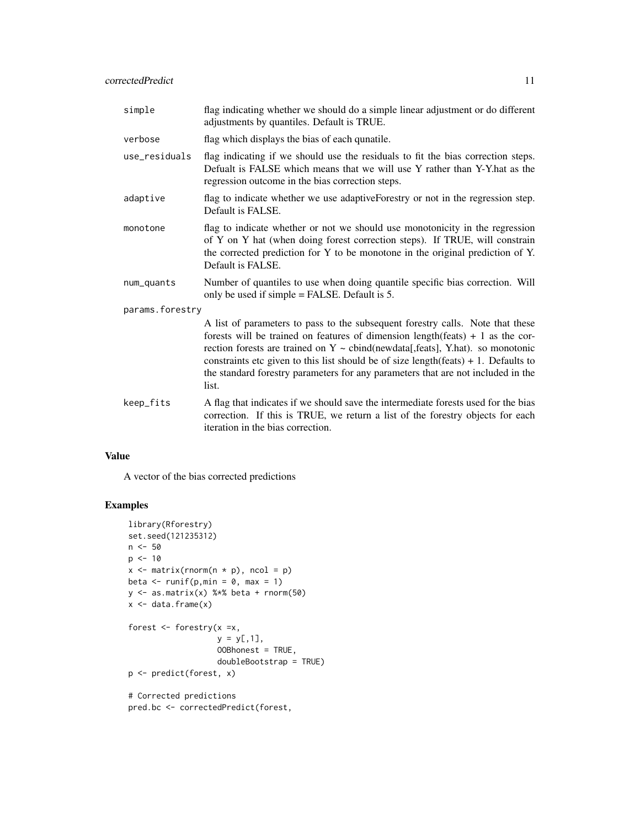| simple          | flag indicating whether we should do a simple linear adjustment or do different<br>adjustments by quantiles. Default is TRUE.                                                                                                                                                                                                                                                                                                                                                           |  |
|-----------------|-----------------------------------------------------------------------------------------------------------------------------------------------------------------------------------------------------------------------------------------------------------------------------------------------------------------------------------------------------------------------------------------------------------------------------------------------------------------------------------------|--|
| verbose         | flag which displays the bias of each qunatile.                                                                                                                                                                                                                                                                                                                                                                                                                                          |  |
| use_residuals   | flag indicating if we should use the residuals to fit the bias correction steps.<br>Defualt is FALSE which means that we will use Y rather than Y-Y hat as the<br>regression outcome in the bias correction steps.                                                                                                                                                                                                                                                                      |  |
| adaptive        | flag to indicate whether we use adaptiveForestry or not in the regression step.<br>Default is FALSE.                                                                                                                                                                                                                                                                                                                                                                                    |  |
| monotone        | flag to indicate whether or not we should use monotonicity in the regression<br>of Y on Y hat (when doing forest correction steps). If TRUE, will constrain<br>the corrected prediction for Y to be monotone in the original prediction of Y.<br>Default is FALSE.                                                                                                                                                                                                                      |  |
| num_quants      | Number of quantiles to use when doing quantile specific bias correction. Will<br>only be used if simple = FALSE. Default is 5.                                                                                                                                                                                                                                                                                                                                                          |  |
| params.forestry |                                                                                                                                                                                                                                                                                                                                                                                                                                                                                         |  |
|                 | A list of parameters to pass to the subsequent forestry calls. Note that these<br>forests will be trained on features of dimension length $(f$ eats $) + 1$ as the cor-<br>rection forests are trained on $Y \sim \text{cbind}(\text{newdata}[\text{,feats}], Y\text{.hat})$ . so monotonic<br>constraints etc given to this list should be of size length $(f$ eats $) + 1$ . Defaults to<br>the standard forestry parameters for any parameters that are not included in the<br>list. |  |
| keep_fits       | A flag that indicates if we should save the intermediate forests used for the bias<br>correction. If this is TRUE, we return a list of the forestry objects for each<br>iteration in the bias correction.                                                                                                                                                                                                                                                                               |  |

### Value

A vector of the bias corrected predictions

### Examples

```
library(Rforestry)
set.seed(121235312)
n < -50p \le -10x \leftarrow \text{matrix}(rnorm(n * p), ncol = p)beta \leq runif(p, min = 0, max = 1)
y \leftarrow as.matrix(x) %*% beta + rnorm(50)
x \leftarrow data-frame(x)forest \leq forestry(x =x,
                     y = y[, 1],OOBhonest = TRUE,
                     doubleBootstrap = TRUE)
p <- predict(forest, x)
# Corrected predictions
pred.bc <- correctedPredict(forest,
```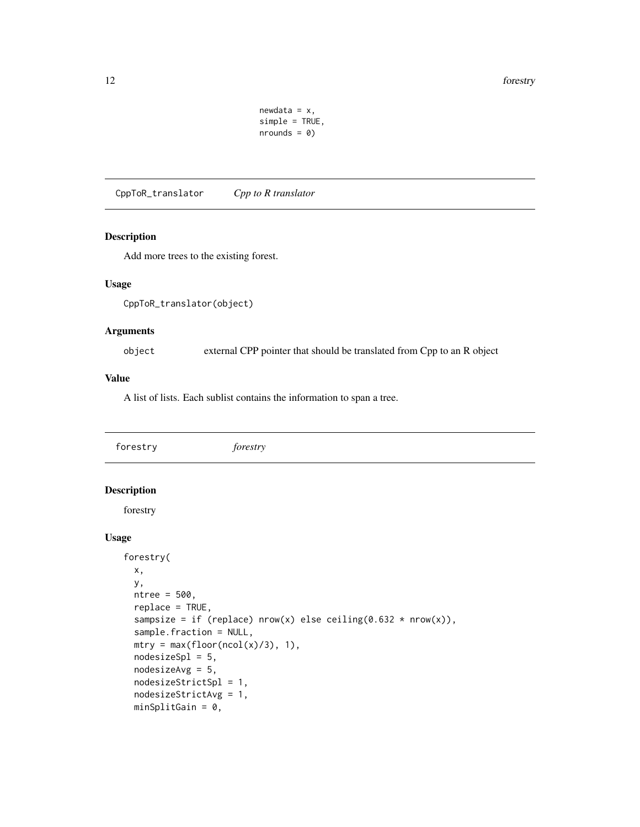```
newdata = x,
simple = TRUE,
nrounds = \theta)
```
<span id="page-11-0"></span>CppToR\_translator *Cpp to R translator*

#### Description

Add more trees to the existing forest.

#### Usage

```
CppToR_translator(object)
```
#### Arguments

object external CPP pointer that should be translated from Cpp to an R object

#### Value

A list of lists. Each sublist contains the information to span a tree.

<span id="page-11-1"></span>forestry *forestry*

### Description

forestry

#### Usage

```
forestry(
  x,
  y,
  ntree = 500,
  replace = TRUE,
  sampsize = if (replace) nrow(x) else ceiling(0.632 * nrow(x)),
  sample.fraction = NULL,
 mtry = max(float(ncol(x)/3), 1),nodesizeSpl = 5,
  nodesizeAvg = 5,
  nodesizeStrictSpl = 1,
  nodesizeStrictAvg = 1,
  minSplitGain = 0,
```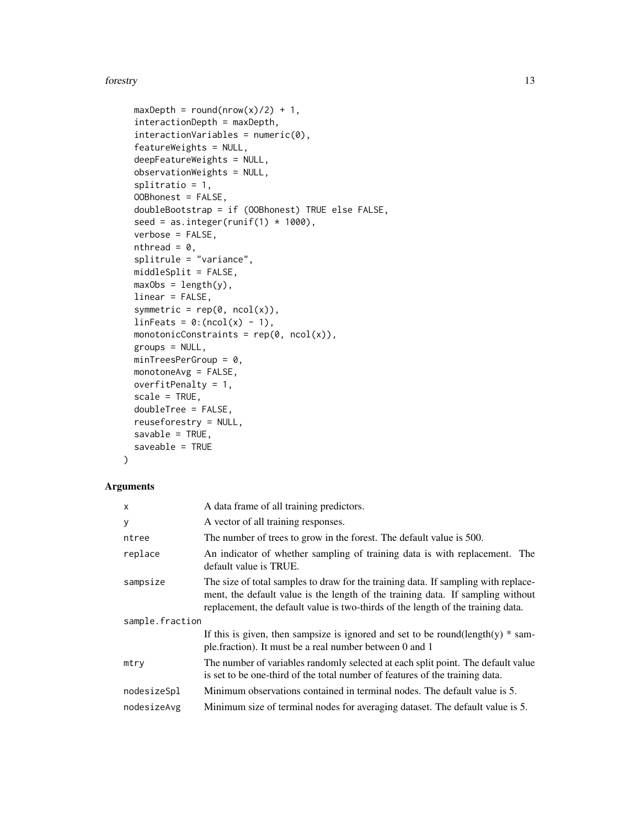#### forestry and the state of the state of the state of the state of the state of the state of the state of the state of the state of the state of the state of the state of the state of the state of the state of the state of t

```
maxDepth = round(nrow(x)/2) + 1,
interactionDepth = maxDepth,
interactionsVariables = numeric(0),featureWeights = NULL,
deepFeatureWeights = NULL,
observationWeights = NULL,
splitratio = 1,
OOBhonest = FALSE,
doubleBootstrap = if (OOBhonest) TRUE else FALSE,
seed = as.integer(runif(1) * 1000),
verbose = FALSE,
nthread = \theta,
splitrule = "variance",
middleSplit = FALSE,
maxObs = length(y),
linear = FALSE,
symmetric = rep(\emptyset, ncol(x)),linFeatures = 0:(ncol(x) - 1),monotonicConstraints = rep(\theta, ncol(x)),groups = NULL,
minTreeSPerGroup = 0,monotoneAvg = FALSE,
overfitPenalty = 1,
scale = TRUE,
doubleTree = FALSE,
reuseforestry = NULL,
savable = TRUE,saveable = TRUE
```
### $\mathcal{L}$

| $\mathsf{x}$    | A data frame of all training predictors.                                                                                                                                                                                                                  |  |
|-----------------|-----------------------------------------------------------------------------------------------------------------------------------------------------------------------------------------------------------------------------------------------------------|--|
| y               | A vector of all training responses.                                                                                                                                                                                                                       |  |
| ntree           | The number of trees to grow in the forest. The default value is 500.                                                                                                                                                                                      |  |
| replace         | An indicator of whether sampling of training data is with replacement. The<br>default value is TRUE.                                                                                                                                                      |  |
| sampsize        | The size of total samples to draw for the training data. If sampling with replace-<br>ment, the default value is the length of the training data. If sampling without<br>replacement, the default value is two-thirds of the length of the training data. |  |
| sample.fraction |                                                                                                                                                                                                                                                           |  |
|                 | If this is given, then sampsize is ignored and set to be round(length(y) $*$ sam-<br>ple.fraction). It must be a real number between 0 and 1                                                                                                              |  |
| mtry            | The number of variables randomly selected at each split point. The default value<br>is set to be one-third of the total number of features of the training data.                                                                                          |  |
| nodesizeSpl     | Minimum observations contained in terminal nodes. The default value is 5.                                                                                                                                                                                 |  |
| nodesizeAvg     | Minimum size of terminal nodes for averaging dataset. The default value is 5.                                                                                                                                                                             |  |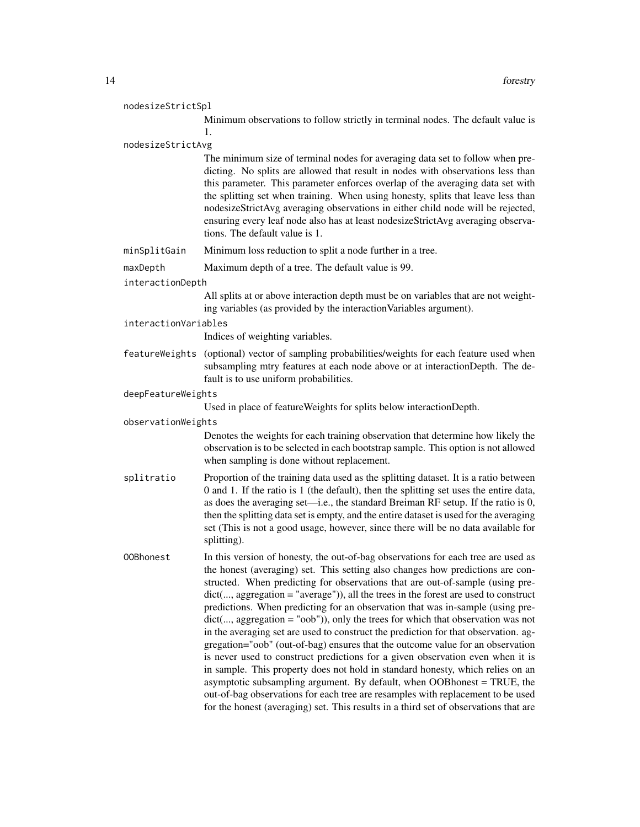| nodesizeStrictSpl |
|-------------------|
|-------------------|

Minimum observations to follow strictly in terminal nodes. The default value is 1.

#### nodesizeStrictAvg

The minimum size of terminal nodes for averaging data set to follow when predicting. No splits are allowed that result in nodes with observations less than this parameter. This parameter enforces overlap of the averaging data set with the splitting set when training. When using honesty, splits that leave less than nodesizeStrictAvg averaging observations in either child node will be rejected, ensuring every leaf node also has at least nodesizeStrictAvg averaging observations. The default value is 1.

- minSplitGain Minimum loss reduction to split a node further in a tree.
- maxDepth Maximum depth of a tree. The default value is 99.

#### interactionDepth

All splits at or above interaction depth must be on variables that are not weighting variables (as provided by the interactionVariables argument).

interactionVariables

Indices of weighting variables.

- featureWeights (optional) vector of sampling probabilities/weights for each feature used when subsampling mtry features at each node above or at interactionDepth. The default is to use uniform probabilities.
- deepFeatureWeights

Used in place of featureWeights for splits below interactionDepth.

#### observationWeights

Denotes the weights for each training observation that determine how likely the observation is to be selected in each bootstrap sample. This option is not allowed when sampling is done without replacement.

- splitratio Proportion of the training data used as the splitting dataset. It is a ratio between 0 and 1. If the ratio is 1 (the default), then the splitting set uses the entire data, as does the averaging set—i.e., the standard Breiman RF setup. If the ratio is 0, then the splitting data set is empty, and the entire dataset is used for the averaging set (This is not a good usage, however, since there will be no data available for splitting).
- OOBhonest In this version of honesty, the out-of-bag observations for each tree are used as the honest (averaging) set. This setting also changes how predictions are constructed. When predicting for observations that are out-of-sample (using predict(..., aggregation = "average")), all the trees in the forest are used to construct predictions. When predicting for an observation that was in-sample (using predict(..., aggregation = "oob")), only the trees for which that observation was not in the averaging set are used to construct the prediction for that observation. aggregation="oob" (out-of-bag) ensures that the outcome value for an observation is never used to construct predictions for a given observation even when it is in sample. This property does not hold in standard honesty, which relies on an asymptotic subsampling argument. By default, when OOBhonest = TRUE, the out-of-bag observations for each tree are resamples with replacement to be used for the honest (averaging) set. This results in a third set of observations that are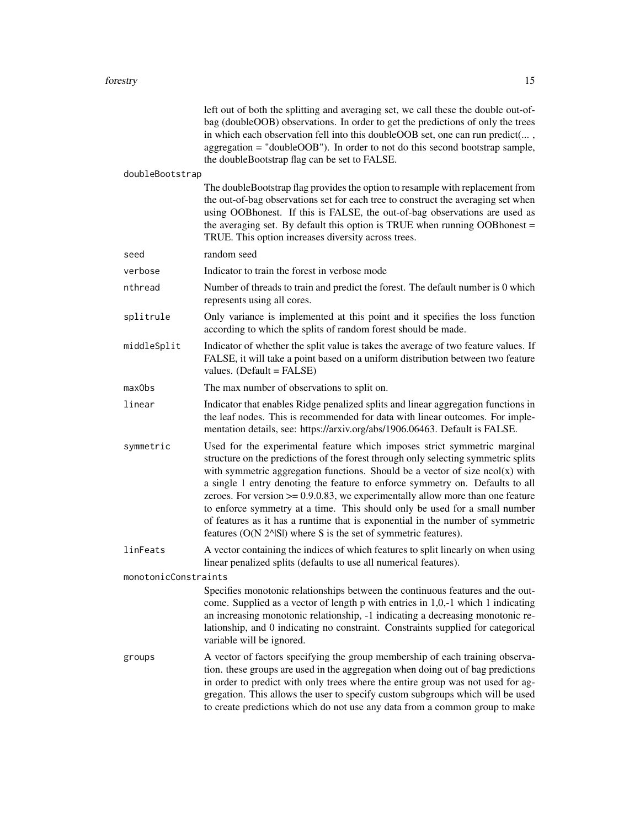|                      | left out of both the splitting and averaging set, we call these the double out-of-<br>bag (doubleOOB) observations. In order to get the predictions of only the trees<br>in which each observation fell into this doubleOOB set, one can run predict(,<br>aggregation = "doubleOOB"). In order to not do this second bootstrap sample,<br>the doubleBootstrap flag can be set to FALSE.                                                                                                                                                                                                                                                                         |
|----------------------|-----------------------------------------------------------------------------------------------------------------------------------------------------------------------------------------------------------------------------------------------------------------------------------------------------------------------------------------------------------------------------------------------------------------------------------------------------------------------------------------------------------------------------------------------------------------------------------------------------------------------------------------------------------------|
| doubleBootstrap      |                                                                                                                                                                                                                                                                                                                                                                                                                                                                                                                                                                                                                                                                 |
|                      | The doubleBootstrap flag provides the option to resample with replacement from<br>the out-of-bag observations set for each tree to construct the averaging set when<br>using OOBhonest. If this is FALSE, the out-of-bag observations are used as<br>the averaging set. By default this option is TRUE when running OOBhonest =<br>TRUE. This option increases diversity across trees.                                                                                                                                                                                                                                                                          |
| seed                 | random seed                                                                                                                                                                                                                                                                                                                                                                                                                                                                                                                                                                                                                                                     |
| verbose              | Indicator to train the forest in verbose mode                                                                                                                                                                                                                                                                                                                                                                                                                                                                                                                                                                                                                   |
| nthread              | Number of threads to train and predict the forest. The default number is 0 which<br>represents using all cores.                                                                                                                                                                                                                                                                                                                                                                                                                                                                                                                                                 |
| splitrule            | Only variance is implemented at this point and it specifies the loss function<br>according to which the splits of random forest should be made.                                                                                                                                                                                                                                                                                                                                                                                                                                                                                                                 |
| middleSplit          | Indicator of whether the split value is takes the average of two feature values. If<br>FALSE, it will take a point based on a uniform distribution between two feature<br>values. (Default = FALSE)                                                                                                                                                                                                                                                                                                                                                                                                                                                             |
| maxObs               | The max number of observations to split on.                                                                                                                                                                                                                                                                                                                                                                                                                                                                                                                                                                                                                     |
| linear               | Indicator that enables Ridge penalized splits and linear aggregation functions in<br>the leaf nodes. This is recommended for data with linear outcomes. For imple-<br>mentation details, see: https://arxiv.org/abs/1906.06463. Default is FALSE.                                                                                                                                                                                                                                                                                                                                                                                                               |
| symmetric            | Used for the experimental feature which imposes strict symmetric marginal<br>structure on the predictions of the forest through only selecting symmetric splits<br>with symmetric aggregation functions. Should be a vector of size $ncol(x)$ with<br>a single 1 entry denoting the feature to enforce symmetry on. Defaults to all<br>zeroes. For version $\geq 0.9.0.83$ , we experimentally allow more than one feature<br>to enforce symmetry at a time. This should only be used for a small number<br>of features as it has a runtime that is exponential in the number of symmetric<br>features $(O(N 2A S))$ where S is the set of symmetric features). |
| linFeats             | A vector containing the indices of which features to split linearly on when using<br>linear penalized splits (defaults to use all numerical features).                                                                                                                                                                                                                                                                                                                                                                                                                                                                                                          |
| monotonicConstraints |                                                                                                                                                                                                                                                                                                                                                                                                                                                                                                                                                                                                                                                                 |
|                      | Specifies monotonic relationships between the continuous features and the out-<br>come. Supplied as a vector of length p with entries in 1,0,-1 which 1 indicating<br>an increasing monotonic relationship, -1 indicating a decreasing monotonic re-<br>lationship, and 0 indicating no constraint. Constraints supplied for categorical<br>variable will be ignored.                                                                                                                                                                                                                                                                                           |
| groups               | A vector of factors specifying the group membership of each training observa-<br>tion. these groups are used in the aggregation when doing out of bag predictions<br>in order to predict with only trees where the entire group was not used for ag-<br>gregation. This allows the user to specify custom subgroups which will be used<br>to create predictions which do not use any data from a common group to make                                                                                                                                                                                                                                           |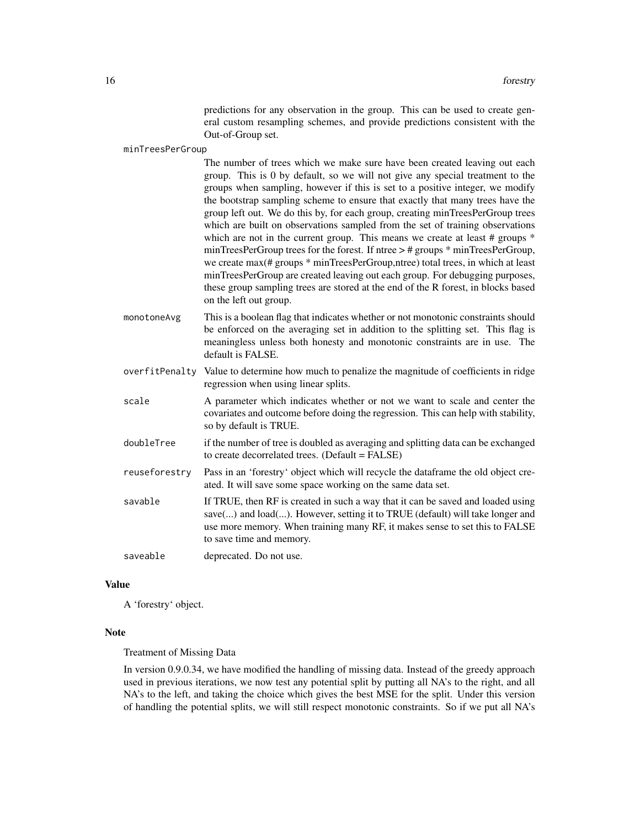predictions for any observation in the group. This can be used to create general custom resampling schemes, and provide predictions consistent with the Out-of-Group set.

minTreesPerGroup

The number of trees which we make sure have been created leaving out each group. This is 0 by default, so we will not give any special treatment to the groups when sampling, however if this is set to a positive integer, we modify the bootstrap sampling scheme to ensure that exactly that many trees have the group left out. We do this by, for each group, creating minTreesPerGroup trees which are built on observations sampled from the set of training observations which are not in the current group. This means we create at least # groups  $*$ minTreesPerGroup trees for the forest. If ntree > # groups \* minTreesPerGroup, we create max(# groups \* minTreesPerGroup,ntree) total trees, in which at least minTreesPerGroup are created leaving out each group. For debugging purposes, these group sampling trees are stored at the end of the R forest, in blocks based on the left out group.

- monotoneAvg This is a boolean flag that indicates whether or not monotonic constraints should be enforced on the averaging set in addition to the splitting set. This flag is meaningless unless both honesty and monotonic constraints are in use. The default is FALSE.
- overfitPenalty Value to determine how much to penalize the magnitude of coefficients in ridge regression when using linear splits.
- scale A parameter which indicates whether or not we want to scale and center the covariates and outcome before doing the regression. This can help with stability, so by default is TRUE.
- doubleTree if the number of tree is doubled as averaging and splitting data can be exchanged to create decorrelated trees. (Default = FALSE)
- reuseforestry Pass in an 'forestry' object which will recycle the dataframe the old object created. It will save some space working on the same data set.
- savable If TRUE, then RF is created in such a way that it can be saved and loaded using save(...) and load(...). However, setting it to TRUE (default) will take longer and use more memory. When training many RF, it makes sense to set this to FALSE to save time and memory.

saveable deprecated. Do not use.

#### Value

A 'forestry' object.

#### **Note**

#### Treatment of Missing Data

In version 0.9.0.34, we have modified the handling of missing data. Instead of the greedy approach used in previous iterations, we now test any potential split by putting all NA's to the right, and all NA's to the left, and taking the choice which gives the best MSE for the split. Under this version of handling the potential splits, we will still respect monotonic constraints. So if we put all NA's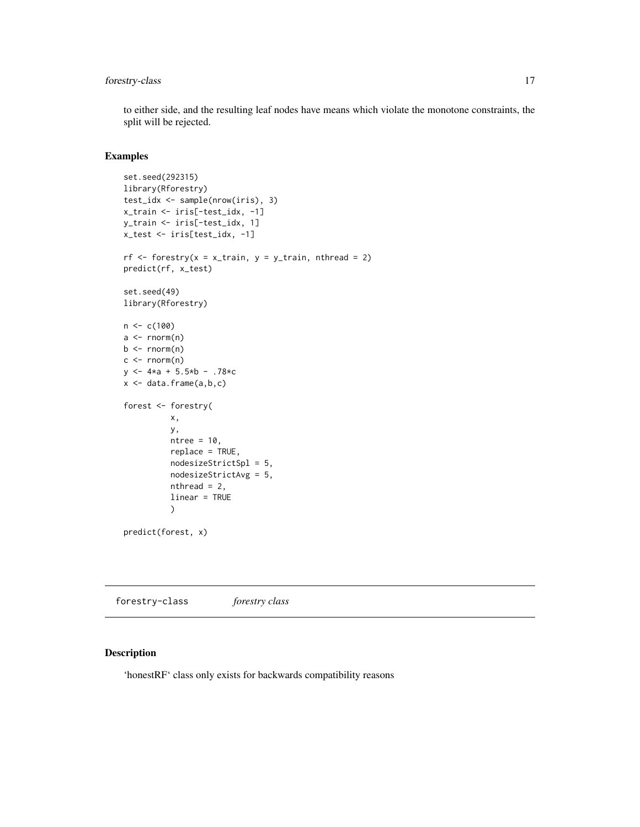### <span id="page-16-0"></span>forestry-class 17

to either side, and the resulting leaf nodes have means which violate the monotone constraints, the split will be rejected.

#### Examples

```
set.seed(292315)
library(Rforestry)
test_idx <- sample(nrow(iris), 3)
x_train <- iris[-test_idx, -1]
y_train <- iris[-test_idx, 1]
x_test <- iris[test_idx, -1]
rf \leftarrow forestry(x = x_train, y = y_train, nthread = 2)
predict(rf, x_test)
set.seed(49)
library(Rforestry)
n < -c(100)a \leftarrow \text{norm}(n)b \leftarrow \text{norm}(n)c \leq -rnorm(n)y \le -4 \times a + 5.5 \times b - .78 \times cx \leftarrow data.frame(a, b, c)forest <- forestry(
           x,
           y,
           ntree = 10,
           replace = TRUE,
           nodesizeStrictSpl = 5,
           nodesizeStrictAvg = 5,
           nthread = 2,
           linear = TRUE
           \mathcal{L}predict(forest, x)
```
forestry-class *forestry class*

### Description

'honestRF' class only exists for backwards compatibility reasons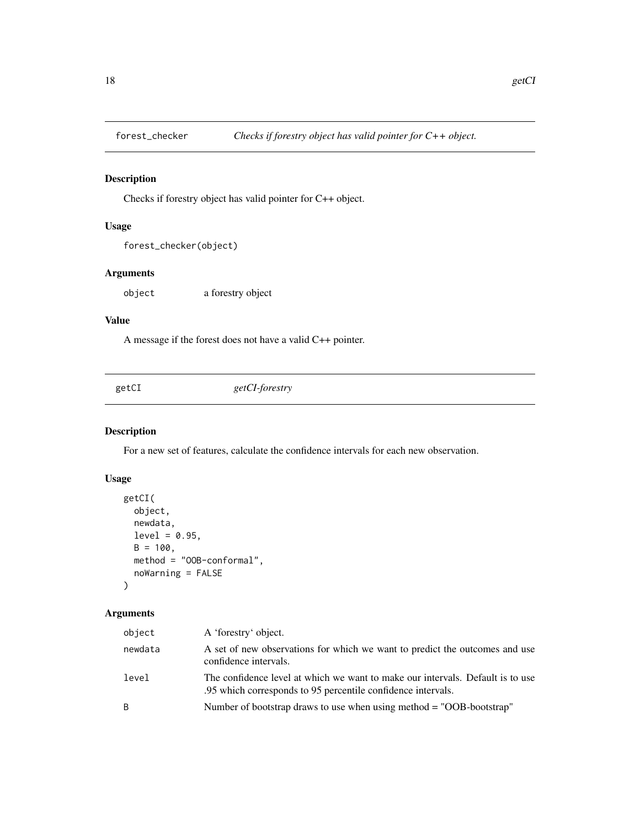<span id="page-17-0"></span>

### Description

Checks if forestry object has valid pointer for C++ object.

### Usage

```
forest_checker(object)
```
### Arguments

object a forestry object

### Value

A message if the forest does not have a valid C++ pointer.

getCI *getCI-forestry*

### Description

For a new set of features, calculate the confidence intervals for each new observation.

### Usage

```
getCI(
 object,
 newdata,
 level = 0.95,B = 100,
 method = "OOB-conformal",
  noWarning = FALSE
)
```

| object  | A 'forestry' object.                                                                                                                           |
|---------|------------------------------------------------------------------------------------------------------------------------------------------------|
| newdata | A set of new observations for which we want to predict the outcomes and use<br>confidence intervals.                                           |
| level   | The confidence level at which we want to make our intervals. Default is to use<br>.95 which corresponds to 95 percentile confidence intervals. |
| B       | Number of bootstrap draws to use when using method = "OOB-bootstrap"                                                                           |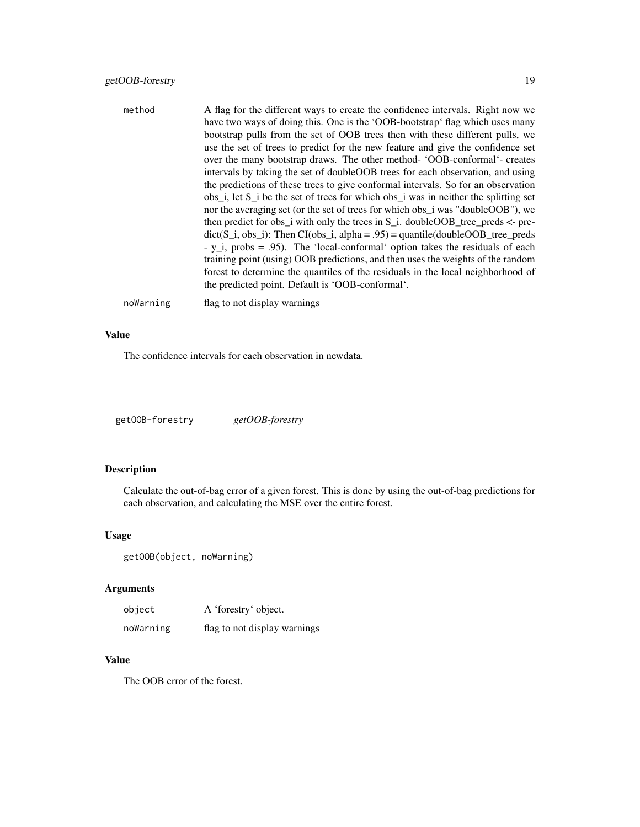<span id="page-18-0"></span>

| method    | A flag for the different ways to create the confidence intervals. Right now we<br>have two ways of doing this. One is the 'OOB-bootstrap' flag which uses many<br>bootstrap pulls from the set of OOB trees then with these different pulls, we<br>use the set of trees to predict for the new feature and give the confidence set<br>over the many bootstrap draws. The other method- 'OOB-conformal'- creates<br>intervals by taking the set of doubleOOB trees for each observation, and using<br>the predictions of these trees to give conformal intervals. So for an observation<br>$obs_i$ , let S <sub>i</sub> be the set of trees for which obs <sub>i</sub> was in neither the splitting set<br>nor the averaging set (or the set of trees for which obs_i was "doubleOOB"), we<br>then predict for obs_i with only the trees in $S_i$ . doubleOOB_tree_preds <- pre-<br>$dict(S_i, obs_i):$ Then $CI(obs_i, alpha = .95) = quantile(doubleOOB_tree_preds)$<br>- $y_i$ , probs = .95). The 'local-conformal' option takes the residuals of each<br>training point (using) OOB predictions, and then uses the weights of the random<br>forest to determine the quantiles of the residuals in the local neighborhood of<br>the predicted point. Default is 'OOB-conformal'. |
|-----------|-------------------------------------------------------------------------------------------------------------------------------------------------------------------------------------------------------------------------------------------------------------------------------------------------------------------------------------------------------------------------------------------------------------------------------------------------------------------------------------------------------------------------------------------------------------------------------------------------------------------------------------------------------------------------------------------------------------------------------------------------------------------------------------------------------------------------------------------------------------------------------------------------------------------------------------------------------------------------------------------------------------------------------------------------------------------------------------------------------------------------------------------------------------------------------------------------------------------------------------------------------------------------------------|
| noWarning | flag to not display warnings                                                                                                                                                                                                                                                                                                                                                                                                                                                                                                                                                                                                                                                                                                                                                                                                                                                                                                                                                                                                                                                                                                                                                                                                                                                        |

### Value

The confidence intervals for each observation in newdata.

getOOB-forestry *getOOB-forestry*

### Description

Calculate the out-of-bag error of a given forest. This is done by using the out-of-bag predictions for each observation, and calculating the MSE over the entire forest.

### Usage

```
getOOB(object, noWarning)
```
### Arguments

| object    | A 'forestry' object.         |
|-----------|------------------------------|
| noWarning | flag to not display warnings |

### Value

The OOB error of the forest.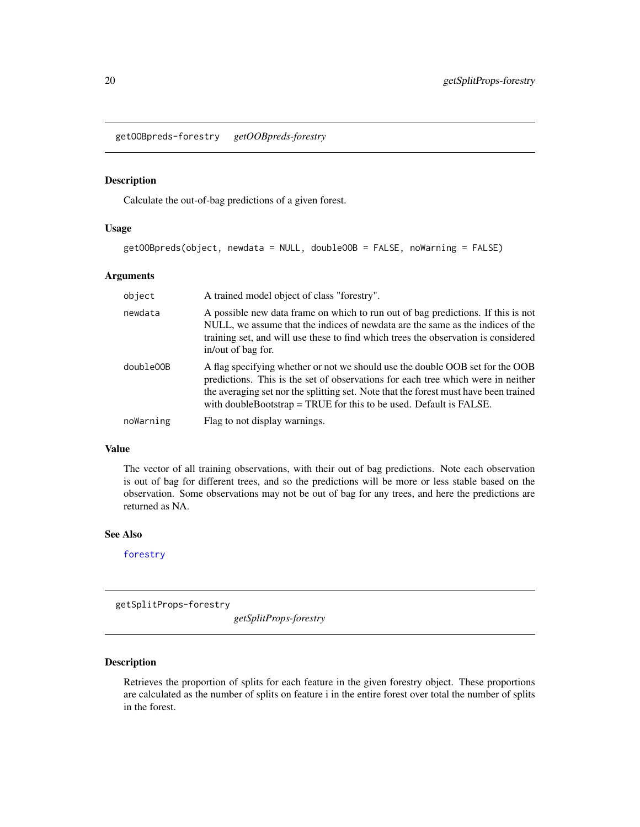<span id="page-19-0"></span>getOOBpreds-forestry *getOOBpreds-forestry*

### Description

Calculate the out-of-bag predictions of a given forest.

#### Usage

```
getOOBpreds(object, newdata = NULL, doubleOOB = FALSE, noWarning = FALSE)
```
### Arguments

| object    | A trained model object of class "forestry".                                                                                                                                                                                                                                                                                        |
|-----------|------------------------------------------------------------------------------------------------------------------------------------------------------------------------------------------------------------------------------------------------------------------------------------------------------------------------------------|
| newdata   | A possible new data frame on which to run out of bag predictions. If this is not<br>NULL, we assume that the indices of newdata are the same as the indices of the<br>training set, and will use these to find which trees the observation is considered<br>in/out of bag for.                                                     |
| double00B | A flag specifying whether or not we should use the double OOB set for the OOB<br>predictions. This is the set of observations for each tree which were in neither<br>the averaging set nor the splitting set. Note that the forest must have been trained<br>with double Bootstrap $=$ TRUE for this to be used. Default is FALSE. |
| noWarning | Flag to not display warnings.                                                                                                                                                                                                                                                                                                      |

#### Value

The vector of all training observations, with their out of bag predictions. Note each observation is out of bag for different trees, and so the predictions will be more or less stable based on the observation. Some observations may not be out of bag for any trees, and here the predictions are returned as NA.

### See Also

[forestry](#page-11-1)

getSplitProps-forestry

*getSplitProps-forestry*

### Description

Retrieves the proportion of splits for each feature in the given forestry object. These proportions are calculated as the number of splits on feature i in the entire forest over total the number of splits in the forest.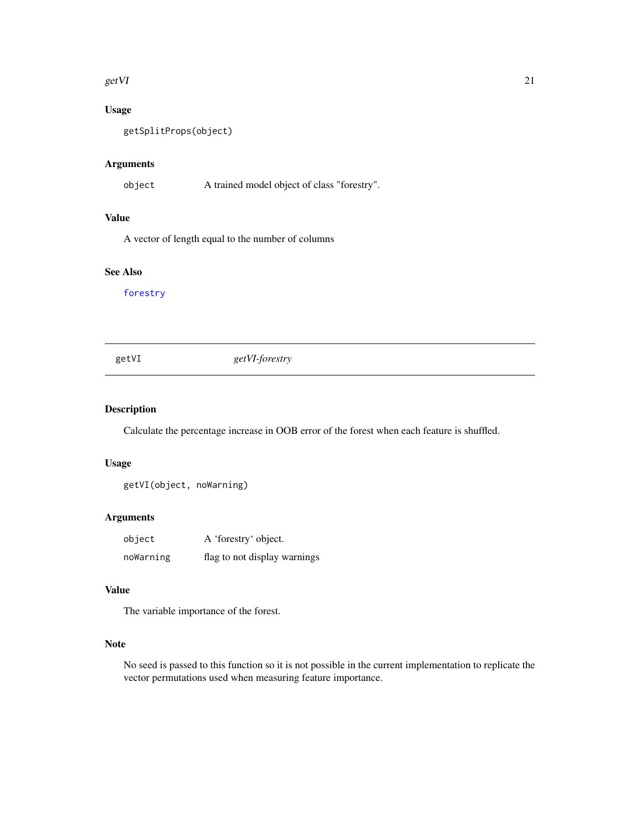#### <span id="page-20-0"></span> $getVI$  21

### Usage

getSplitProps(object)

### Arguments

object A trained model object of class "forestry".

### Value

A vector of length equal to the number of columns

### See Also

[forestry](#page-11-1)

### getVI *getVI-forestry*

### Description

Calculate the percentage increase in OOB error of the forest when each feature is shuffled.

#### Usage

getVI(object, noWarning)

### Arguments

| object    | A 'forestry' object.         |
|-----------|------------------------------|
| noWarning | flag to not display warnings |

#### Value

The variable importance of the forest.

### Note

No seed is passed to this function so it is not possible in the current implementation to replicate the vector permutations used when measuring feature importance.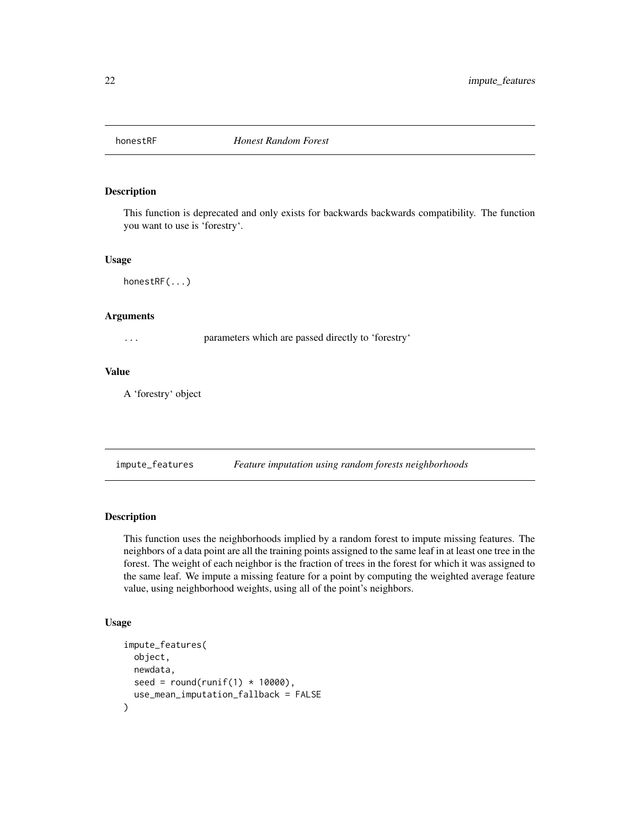<span id="page-21-0"></span>

### Description

This function is deprecated and only exists for backwards backwards compatibility. The function you want to use is 'forestry'.

#### Usage

honestRF(...)

#### Arguments

... parameters which are passed directly to 'forestry'

#### Value

A 'forestry' object

impute\_features *Feature imputation using random forests neighborhoods*

### Description

This function uses the neighborhoods implied by a random forest to impute missing features. The neighbors of a data point are all the training points assigned to the same leaf in at least one tree in the forest. The weight of each neighbor is the fraction of trees in the forest for which it was assigned to the same leaf. We impute a missing feature for a point by computing the weighted average feature value, using neighborhood weights, using all of the point's neighbors.

#### Usage

```
impute_features(
 object,
 newdata,
  seed = round(runif(1) * 10000),
  use_mean_imputation_fallback = FALSE
)
```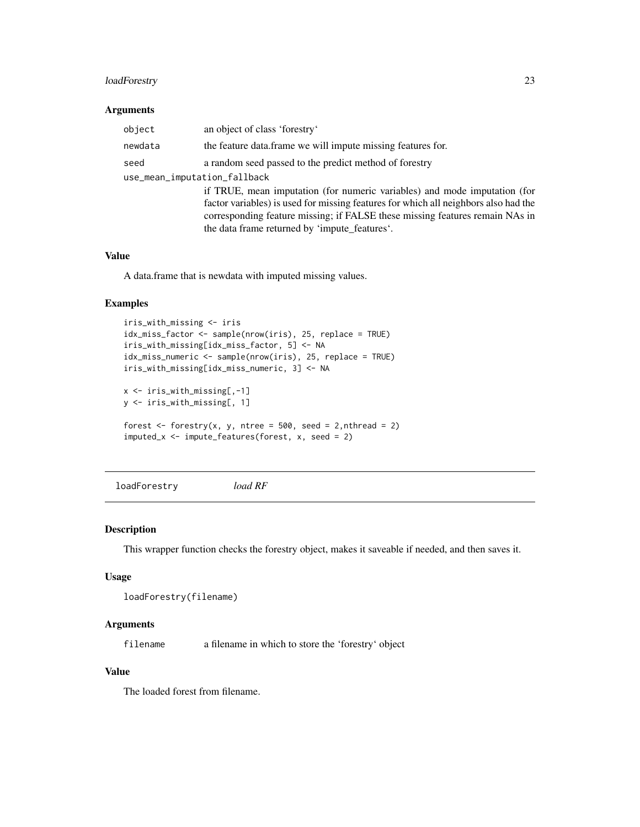### <span id="page-22-0"></span>loadForestry 23

#### Arguments

| object                       | an object of class 'forestry'                                                       |
|------------------------------|-------------------------------------------------------------------------------------|
| newdata                      | the feature data frame we will impute missing features for.                         |
| seed                         | a random seed passed to the predict method of forestry                              |
| use_mean_imputation_fallback |                                                                                     |
|                              | if TRUE, mean imputation (for numeric variables) and mode imputation (for           |
|                              | factor variables) is used for missing features for which all neighbors also had the |
|                              | corresponding feature missing; if FALSE these missing features remain NAs in        |
|                              | the data frame returned by 'impute_features'.                                       |

#### Value

A data.frame that is newdata with imputed missing values.

### Examples

```
iris_with_missing <- iris
idx_miss_factor <- sample(nrow(iris), 25, replace = TRUE)
iris_with_missing[idx_miss_factor, 5] <- NA
idx_miss_numeric <- sample(nrow(iris), 25, replace = TRUE)
iris_with_missing[idx_miss_numeric, 3] <- NA
x <- iris_with_missing[,-1]
y <- iris_with_missing[, 1]
forest \leq forestry(x, y, ntree = 500, seed = 2, nthread = 2)
imputed_x <- impute_features(forest, x, seed = 2)
```
loadForestry *load RF*

#### Description

This wrapper function checks the forestry object, makes it saveable if needed, and then saves it.

#### Usage

```
loadForestry(filename)
```
#### Arguments

filename a filename in which to store the 'forestry' object

### Value

The loaded forest from filename.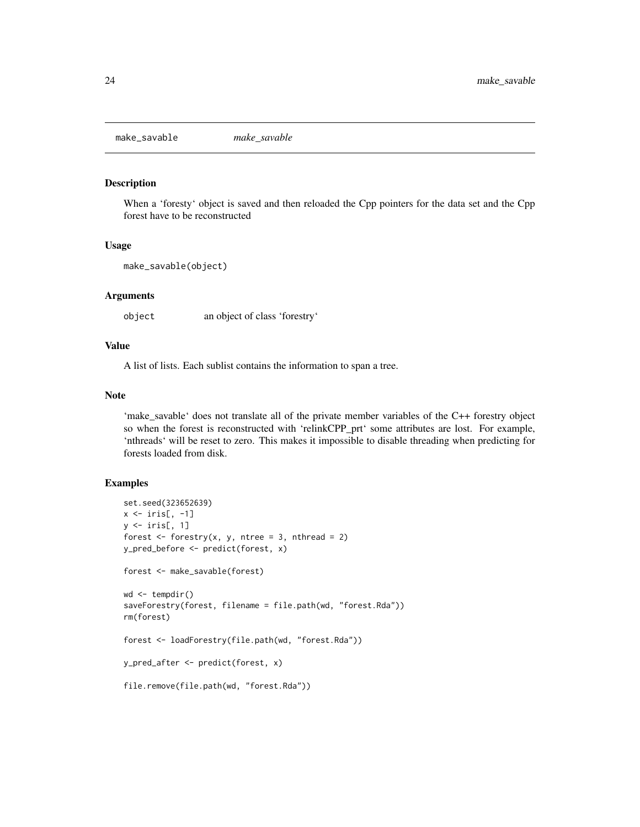<span id="page-23-0"></span>make\_savable *make\_savable*

### Description

When a 'foresty' object is saved and then reloaded the Cpp pointers for the data set and the Cpp forest have to be reconstructed

#### Usage

```
make_savable(object)
```
#### Arguments

object an object of class 'forestry'

### Value

A list of lists. Each sublist contains the information to span a tree.

### Note

'make\_savable' does not translate all of the private member variables of the C++ forestry object so when the forest is reconstructed with 'relinkCPP\_prt' some attributes are lost. For example, 'nthreads' will be reset to zero. This makes it impossible to disable threading when predicting for forests loaded from disk.

### Examples

```
set.seed(323652639)
x \leftarrow \text{iris}[, -1]y \leftarrow \text{iris}[, 1]forest \leq forestry(x, y, ntree = 3, nthread = 2)
y_pred_before <- predict(forest, x)
forest <- make_savable(forest)
wd <- tempdir()
saveForestry(forest, filename = file.path(wd, "forest.Rda"))
rm(forest)
forest <- loadForestry(file.path(wd, "forest.Rda"))
y_pred_after <- predict(forest, x)
file.remove(file.path(wd, "forest.Rda"))
```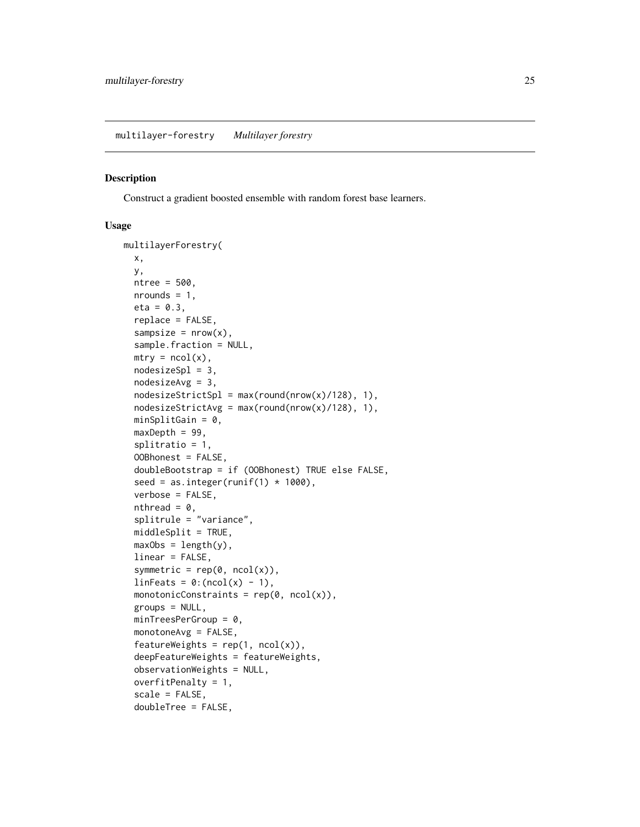#### <span id="page-24-0"></span>Description

Construct a gradient boosted ensemble with random forest base learners.

#### Usage

```
multilayerForestry(
  x,
 y,
 ntree = 500,
 nrounds = 1,
 eta = 0.3,
  replace = FALSE,
  samplesize = nrow(x),
  sample.fraction = NULL,
 mtry = ncol(x),
 nodesizeSpl = 3,nodesizeAvg = 3,nodesizeStrictSpl = max(row(nrow(x)/128), 1),nodesizeStrictAvg = max(row(nrow(x)/128), 1),minSplitGain = 0,
 maxDepth = 99,
  splitratio = 1,
  OOBhonest = FALSE,
  doubleBootstrap = if (OOBhonest) TRUE else FALSE,
  seed = as.integer(runif(1) * 1000),
  verbose = FALSE,
  nthread = \theta,
  splitrule = "variance",
 middleSplit = TRUE,
 maxObs = length(y),
  linear = FALSE,
  symmetric = rep(\emptyset, ncol(x)),linFeatures = 0:(ncol(x) - 1),monotonicConstraints = rep(\emptyset, ncol(x)),groups = NULL,
 minTreeSPerGroup = 0,monotoneAvg = FALSE,
  featureWeights = rep(1, ncol(x)),deepFeatureWeights = featureWeights,
  observationWeights = NULL,
  overfitPenalty = 1,
  scale = FALSE,
  doubleTree = FALSE,
```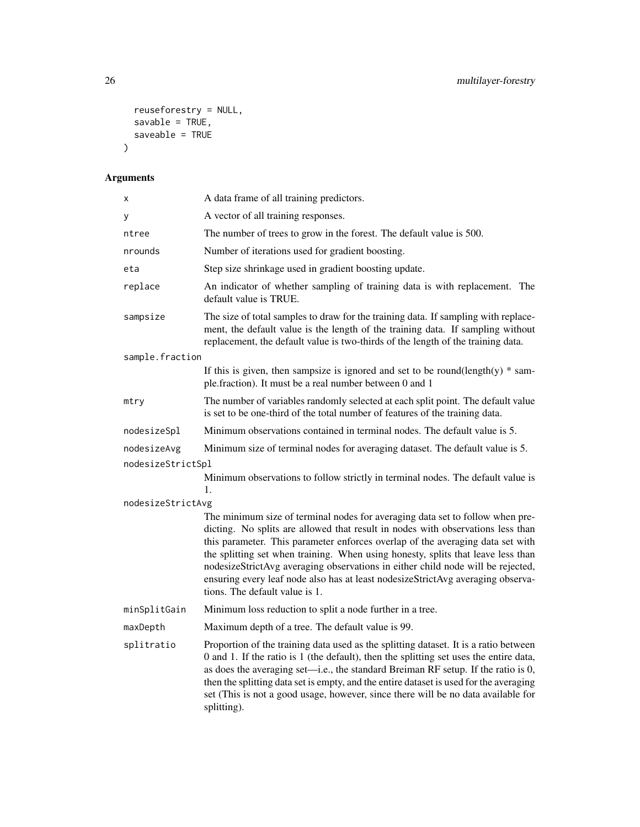```
reuseforestry = NULL,
   savable = TRUE,
  saveable = TRUE\mathcal{L}
```

| Χ                 | A data frame of all training predictors.                                                                                                                                                                                                                                                                                                                                                                                                                                                                                                       |  |
|-------------------|------------------------------------------------------------------------------------------------------------------------------------------------------------------------------------------------------------------------------------------------------------------------------------------------------------------------------------------------------------------------------------------------------------------------------------------------------------------------------------------------------------------------------------------------|--|
| у                 | A vector of all training responses.                                                                                                                                                                                                                                                                                                                                                                                                                                                                                                            |  |
| ntree             | The number of trees to grow in the forest. The default value is 500.                                                                                                                                                                                                                                                                                                                                                                                                                                                                           |  |
| nrounds           | Number of iterations used for gradient boosting.                                                                                                                                                                                                                                                                                                                                                                                                                                                                                               |  |
| eta               | Step size shrinkage used in gradient boosting update.                                                                                                                                                                                                                                                                                                                                                                                                                                                                                          |  |
| replace           | An indicator of whether sampling of training data is with replacement. The<br>default value is TRUE.                                                                                                                                                                                                                                                                                                                                                                                                                                           |  |
| sampsize          | The size of total samples to draw for the training data. If sampling with replace-<br>ment, the default value is the length of the training data. If sampling without<br>replacement, the default value is two-thirds of the length of the training data.                                                                                                                                                                                                                                                                                      |  |
| sample.fraction   |                                                                                                                                                                                                                                                                                                                                                                                                                                                                                                                                                |  |
|                   | If this is given, then sampsize is ignored and set to be round(length(y) $*$ sam-<br>ple.fraction). It must be a real number between 0 and 1                                                                                                                                                                                                                                                                                                                                                                                                   |  |
| mtry              | The number of variables randomly selected at each split point. The default value<br>is set to be one-third of the total number of features of the training data.                                                                                                                                                                                                                                                                                                                                                                               |  |
| nodesizeSpl       | Minimum observations contained in terminal nodes. The default value is 5.                                                                                                                                                                                                                                                                                                                                                                                                                                                                      |  |
| nodesizeAvg       | Minimum size of terminal nodes for averaging dataset. The default value is 5.                                                                                                                                                                                                                                                                                                                                                                                                                                                                  |  |
| nodesizeStrictSpl |                                                                                                                                                                                                                                                                                                                                                                                                                                                                                                                                                |  |
|                   | Minimum observations to follow strictly in terminal nodes. The default value is<br>1.                                                                                                                                                                                                                                                                                                                                                                                                                                                          |  |
| nodesizeStrictAvg |                                                                                                                                                                                                                                                                                                                                                                                                                                                                                                                                                |  |
|                   | The minimum size of terminal nodes for averaging data set to follow when pre-<br>dicting. No splits are allowed that result in nodes with observations less than<br>this parameter. This parameter enforces overlap of the averaging data set with<br>the splitting set when training. When using honesty, splits that leave less than<br>nodesizeStrictAvg averaging observations in either child node will be rejected,<br>ensuring every leaf node also has at least nodesizeStrictAvg averaging observa-<br>tions. The default value is 1. |  |
| minSplitGain      | Minimum loss reduction to split a node further in a tree.                                                                                                                                                                                                                                                                                                                                                                                                                                                                                      |  |
| maxDepth          | Maximum depth of a tree. The default value is 99.                                                                                                                                                                                                                                                                                                                                                                                                                                                                                              |  |
| splitratio        | Proportion of the training data used as the splitting dataset. It is a ratio between<br>0 and 1. If the ratio is 1 (the default), then the splitting set uses the entire data,<br>as does the averaging set—i.e., the standard Breiman RF setup. If the ratio is 0,<br>then the splitting data set is empty, and the entire dataset is used for the averaging<br>set (This is not a good usage, however, since there will be no data available for<br>splitting).                                                                              |  |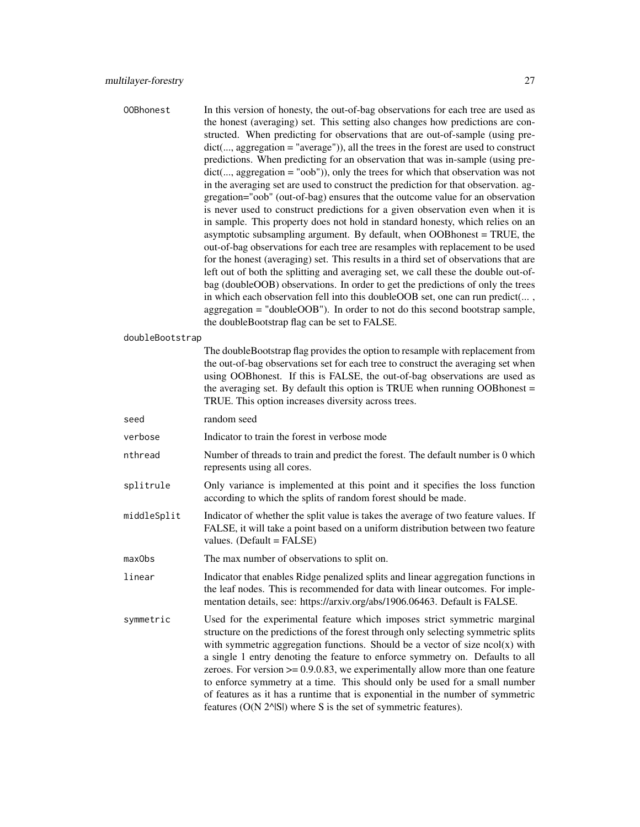| 00Bhonest       | In this version of honesty, the out-of-bag observations for each tree are used as      |
|-----------------|----------------------------------------------------------------------------------------|
|                 | the honest (averaging) set. This setting also changes how predictions are con-         |
|                 | structed. When predicting for observations that are out-of-sample (using pre-          |
|                 | $dict(, aggregation = "average"))$ , all the trees in the forest are used to construct |
|                 | predictions. When predicting for an observation that was in-sample (using pre-         |
|                 | $dict(, aggregation = "oob"))$ , only the trees for which that observation was not     |
|                 | in the averaging set are used to construct the prediction for that observation. ag-    |
|                 | gregation="oob" (out-of-bag) ensures that the outcome value for an observation         |
|                 | is never used to construct predictions for a given observation even when it is         |
|                 | in sample. This property does not hold in standard honesty, which relies on an         |
|                 | asymptotic subsampling argument. By default, when OOBhonest = TRUE, the                |
|                 | out-of-bag observations for each tree are resamples with replacement to be used        |
|                 | for the honest (averaging) set. This results in a third set of observations that are   |
|                 | left out of both the splitting and averaging set, we call these the double out-of-     |
|                 | bag (doubleOOB) observations. In order to get the predictions of only the trees        |
|                 | in which each observation fell into this doubleOOB set, one can run predict(,          |
|                 | $aggregation = "doubleOOB")$ . In order to not do this second bootstrap sample,        |
|                 | the doubleBootstrap flag can be set to FALSE.                                          |
| doubleBootstrap |                                                                                        |

The doubleBootstrap flag provides the option to resample with replacement from the out-of-bag observations set for each tree to construct the averaging set when using OOBhonest. If this is FALSE, the out-of-bag observations are used as the averaging set. By default this option is TRUE when running OOBhonest = TRUE. This option increases diversity across trees.

seed random seed

verbose Indicator to train the forest in verbose mode

- nthread Number of threads to train and predict the forest. The default number is 0 which represents using all cores.
- splitrule Only variance is implemented at this point and it specifies the loss function according to which the splits of random forest should be made.
- middleSplit Indicator of whether the split value is takes the average of two feature values. If FALSE, it will take a point based on a uniform distribution between two feature values. (Default = FALSE)
- maxObs The max number of observations to split on.
- linear Indicator that enables Ridge penalized splits and linear aggregation functions in the leaf nodes. This is recommended for data with linear outcomes. For implementation details, see: https://arxiv.org/abs/1906.06463. Default is FALSE.
- symmetric Used for the experimental feature which imposes strict symmetric marginal structure on the predictions of the forest through only selecting symmetric splits with symmetric aggregation functions. Should be a vector of size  $\text{ncol}(x)$  with a single 1 entry denoting the feature to enforce symmetry on. Defaults to all zeroes. For version  $\geq 0.9.0.83$ , we experimentally allow more than one feature to enforce symmetry at a time. This should only be used for a small number of features as it has a runtime that is exponential in the number of symmetric features (O(N 2^|S|) where S is the set of symmetric features).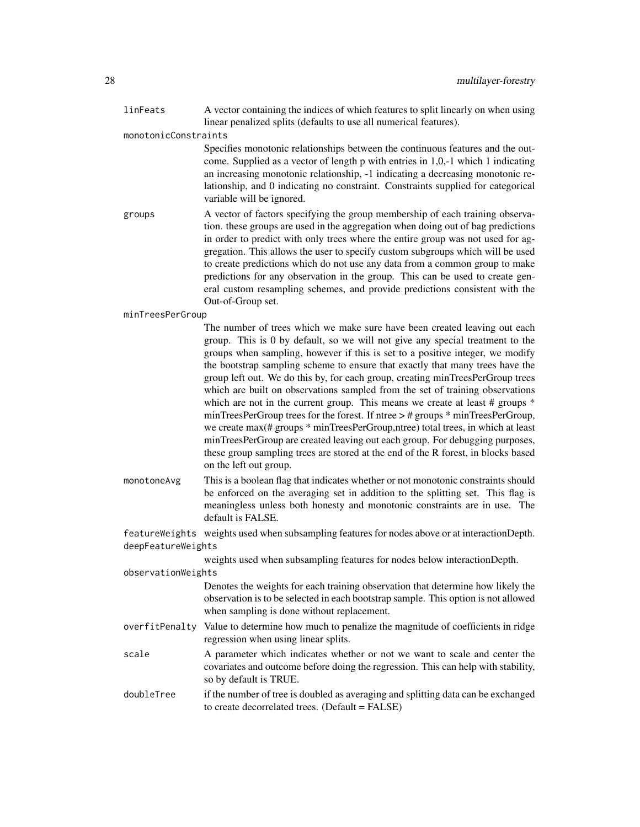linFeats A vector containing the indices of which features to split linearly on when using linear penalized splits (defaults to use all numerical features).

monotonicConstraints

Specifies monotonic relationships between the continuous features and the outcome. Supplied as a vector of length p with entries in 1,0,-1 which 1 indicating an increasing monotonic relationship, -1 indicating a decreasing monotonic relationship, and 0 indicating no constraint. Constraints supplied for categorical variable will be ignored.

groups A vector of factors specifying the group membership of each training observation. these groups are used in the aggregation when doing out of bag predictions in order to predict with only trees where the entire group was not used for aggregation. This allows the user to specify custom subgroups which will be used to create predictions which do not use any data from a common group to make predictions for any observation in the group. This can be used to create general custom resampling schemes, and provide predictions consistent with the Out-of-Group set.

#### minTreesPerGroup

The number of trees which we make sure have been created leaving out each group. This is 0 by default, so we will not give any special treatment to the groups when sampling, however if this is set to a positive integer, we modify the bootstrap sampling scheme to ensure that exactly that many trees have the group left out. We do this by, for each group, creating minTreesPerGroup trees which are built on observations sampled from the set of training observations which are not in the current group. This means we create at least # groups  $*$ minTreesPerGroup trees for the forest. If ntree > # groups \* minTreesPerGroup, we create max(# groups \* minTreesPerGroup,ntree) total trees, in which at least minTreesPerGroup are created leaving out each group. For debugging purposes, these group sampling trees are stored at the end of the R forest, in blocks based on the left out group.

monotoneAvg This is a boolean flag that indicates whether or not monotonic constraints should be enforced on the averaging set in addition to the splitting set. This flag is meaningless unless both honesty and monotonic constraints are in use. The default is FALSE.

featureWeights weights used when subsampling features for nodes above or at interactionDepth. deepFeatureWeights

weights used when subsampling features for nodes below interactionDepth.

observationWeights

Denotes the weights for each training observation that determine how likely the observation is to be selected in each bootstrap sample. This option is not allowed when sampling is done without replacement.

- overfitPenalty Value to determine how much to penalize the magnitude of coefficients in ridge regression when using linear splits.
- scale A parameter which indicates whether or not we want to scale and center the covariates and outcome before doing the regression. This can help with stability, so by default is TRUE.
- doubleTree if the number of tree is doubled as averaging and splitting data can be exchanged to create decorrelated trees. (Default = FALSE)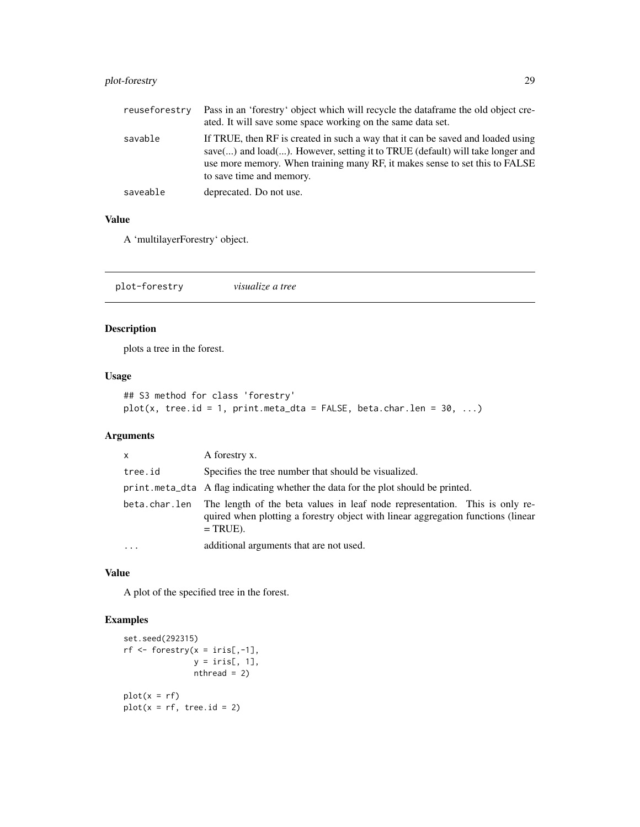### <span id="page-28-0"></span>plot-forestry 29

| reuseforestry | Pass in an 'forestry' object which will recycle the dataframe the old object cre-<br>ated. It will save some space working on the same data set.                                                                                                                            |
|---------------|-----------------------------------------------------------------------------------------------------------------------------------------------------------------------------------------------------------------------------------------------------------------------------|
| savable       | If TRUE, then RF is created in such a way that it can be saved and loaded using<br>save() and load(). However, setting it to TRUE (default) will take longer and<br>use more memory. When training many RF, it makes sense to set this to FALSE<br>to save time and memory. |
| saveable      | deprecated. Do not use.                                                                                                                                                                                                                                                     |

### Value

A 'multilayerForestry' object.

plot-forestry *visualize a tree*

### Description

plots a tree in the forest.

### Usage

```
## S3 method for class 'forestry'
plot(x, tree.id = 1, print.meta_data = FALSE, beta(char.length = 30, ...)
```
### Arguments

| $\mathsf{x}$  | A forestry x.                                                                                                                                                                 |
|---------------|-------------------------------------------------------------------------------------------------------------------------------------------------------------------------------|
| tree.id       | Specifies the tree number that should be visualized.                                                                                                                          |
|               | print.meta_dta A flag indicating whether the data for the plot should be printed.                                                                                             |
| beta.char.len | The length of the beta values in leaf node representation. This is only re-<br>quired when plotting a forestry object with linear aggregation functions (linear<br>$=$ TRUE). |
| $\ddotsc$     | additional arguments that are not used.                                                                                                                                       |

#### Value

A plot of the specified tree in the forest.

### Examples

```
set.seed(292315)
rf \leq forestry(x = iris[,-1],
               y = \text{iris}[, 1],nthread = 2)
plot(x = rf)plot(x = rf, tree.id = 2)
```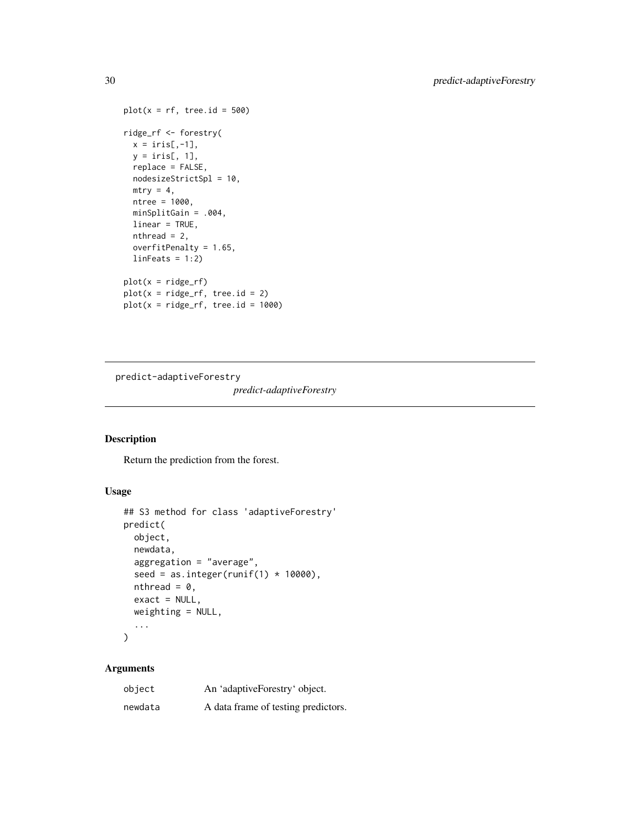```
plot(x = rf, tree.id = 500)ridge_rf <- forestry(
 x = \text{iris}[, -1],y = \text{iris}[, 1],replace = FALSE,
  nodesizeStrictSpl = 10,
  mtry = 4,
  ntree = 1000,
  minSplitGain = .004,
  linear = TRUE,
  nthread = 2,
  overfitPenalty = 1.65,
  linFeatures = 1:2)plot(x = ridge_r f)plot(x = ridge\_rf, tree.id = 2)plot(x = ridge\_rf, tree.id = 1000)
```
predict-adaptiveForestry

*predict-adaptiveForestry*

### Description

Return the prediction from the forest.

### Usage

```
## S3 method for class 'adaptiveForestry'
predict(
  object,
  newdata,
  aggregation = "average",
  seed = as.integer(runif(1) * 10000),
  nthread = \theta,
  exact = NULL,weighting = NULL,
  ...
\mathcal{L}
```

| object  | An 'adaptiveForestry' object.       |
|---------|-------------------------------------|
| newdata | A data frame of testing predictors. |

<span id="page-29-0"></span>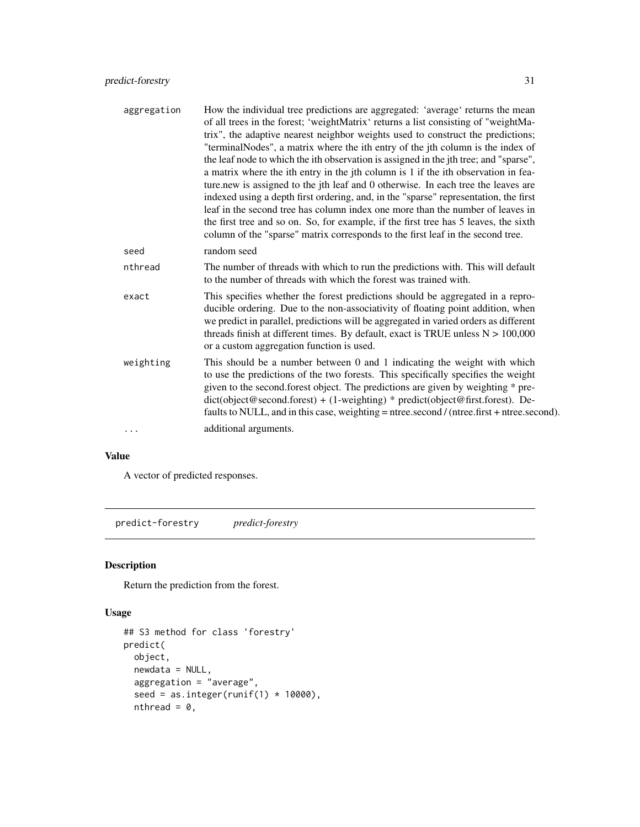<span id="page-30-0"></span>

| aggregation | How the individual tree predictions are aggregated: 'average' returns the mean<br>of all trees in the forest; 'weightMatrix' returns a list consisting of "weightMa-<br>trix", the adaptive nearest neighbor weights used to construct the predictions;<br>"terminalNodes", a matrix where the ith entry of the jth column is the index of<br>the leaf node to which the ith observation is assigned in the jth tree; and "sparse",<br>a matrix where the ith entry in the jth column is 1 if the ith observation in fea-<br>ture.new is assigned to the jth leaf and 0 otherwise. In each tree the leaves are<br>indexed using a depth first ordering, and, in the "sparse" representation, the first<br>leaf in the second tree has column index one more than the number of leaves in<br>the first tree and so on. So, for example, if the first tree has 5 leaves, the sixth<br>column of the "sparse" matrix corresponds to the first leaf in the second tree. |
|-------------|---------------------------------------------------------------------------------------------------------------------------------------------------------------------------------------------------------------------------------------------------------------------------------------------------------------------------------------------------------------------------------------------------------------------------------------------------------------------------------------------------------------------------------------------------------------------------------------------------------------------------------------------------------------------------------------------------------------------------------------------------------------------------------------------------------------------------------------------------------------------------------------------------------------------------------------------------------------------|
| seed        | random seed                                                                                                                                                                                                                                                                                                                                                                                                                                                                                                                                                                                                                                                                                                                                                                                                                                                                                                                                                         |
| nthread     | The number of threads with which to run the predictions with. This will default<br>to the number of threads with which the forest was trained with.                                                                                                                                                                                                                                                                                                                                                                                                                                                                                                                                                                                                                                                                                                                                                                                                                 |
| exact       | This specifies whether the forest predictions should be aggregated in a repro-<br>ducible ordering. Due to the non-associativity of floating point addition, when<br>we predict in parallel, predictions will be aggregated in varied orders as different<br>threads finish at different times. By default, exact is TRUE unless $N > 100,000$<br>or a custom aggregation function is used.                                                                                                                                                                                                                                                                                                                                                                                                                                                                                                                                                                         |
| weighting   | This should be a number between 0 and 1 indicating the weight with which<br>to use the predictions of the two forests. This specifically specifies the weight<br>given to the second forest object. The predictions are given by weighting * pre-<br>$dict(object@second.fores) + (1-weighting) * predict(object@first.fores).$ De-<br>faults to NULL, and in this case, weighting = ntree.second / (ntree.first + ntree.second).                                                                                                                                                                                                                                                                                                                                                                                                                                                                                                                                   |
| .           | additional arguments.                                                                                                                                                                                                                                                                                                                                                                                                                                                                                                                                                                                                                                                                                                                                                                                                                                                                                                                                               |

### Value

A vector of predicted responses.

predict-forestry *predict-forestry*

### Description

Return the prediction from the forest.

### Usage

```
## S3 method for class 'forestry'
predict(
 object,
 newdata = NULL,aggregation = "average",
  seed = as.integer(runif(1) * 10000),
 nthread = 0,
```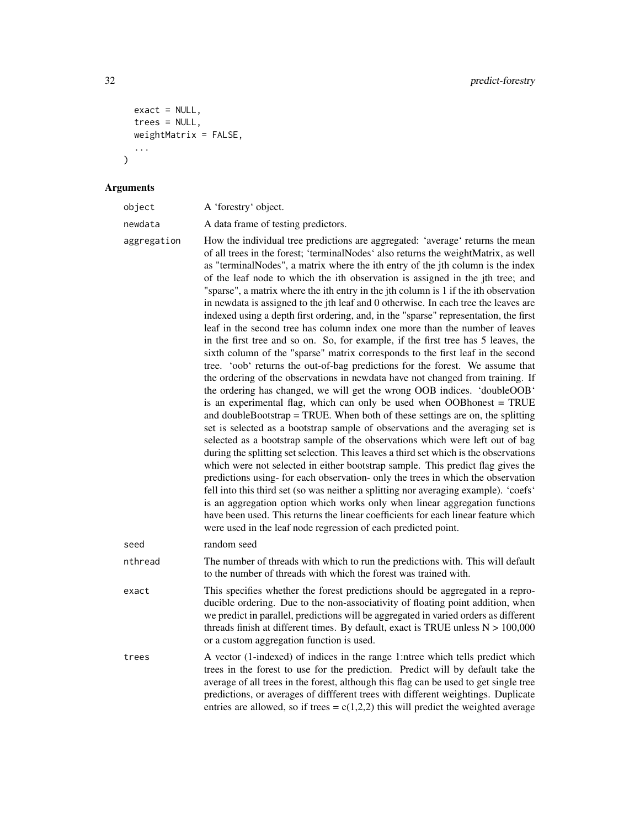```
exact = NULL,trees = NULL,
 weightMatrix = FALSE,
  ...
)
```
#### Arguments

| object  | A 'forestry' object.                |
|---------|-------------------------------------|
| newdata | A data frame of testing predictors. |

aggregation How the individual tree predictions are aggregated: 'average' returns the mean of all trees in the forest; 'terminalNodes' also returns the weightMatrix, as well as "terminalNodes", a matrix where the ith entry of the jth column is the index of the leaf node to which the ith observation is assigned in the jth tree; and "sparse", a matrix where the ith entry in the jth column is 1 if the ith observation in newdata is assigned to the jth leaf and 0 otherwise. In each tree the leaves are indexed using a depth first ordering, and, in the "sparse" representation, the first leaf in the second tree has column index one more than the number of leaves in the first tree and so on. So, for example, if the first tree has 5 leaves, the sixth column of the "sparse" matrix corresponds to the first leaf in the second tree. 'oob' returns the out-of-bag predictions for the forest. We assume that the ordering of the observations in newdata have not changed from training. If the ordering has changed, we will get the wrong OOB indices. 'doubleOOB' is an experimental flag, which can only be used when OOBhonest = TRUE and doubleBootstrap = TRUE. When both of these settings are on, the splitting set is selected as a bootstrap sample of observations and the averaging set is selected as a bootstrap sample of the observations which were left out of bag during the splitting set selection. This leaves a third set which is the observations which were not selected in either bootstrap sample. This predict flag gives the predictions using- for each observation- only the trees in which the observation fell into this third set (so was neither a splitting nor averaging example). 'coefs' is an aggregation option which works only when linear aggregation functions have been used. This returns the linear coefficients for each linear feature which were used in the leaf node regression of each predicted point. seed random seed

nthread The number of threads with which to run the predictions with. This will default to the number of threads with which the forest was trained with.

exact This specifies whether the forest predictions should be aggregated in a reproducible ordering. Due to the non-associativity of floating point addition, when we predict in parallel, predictions will be aggregated in varied orders as different threads finish at different times. By default, exact is TRUE unless  $N > 100,000$ or a custom aggregation function is used.

trees A vector (1-indexed) of indices in the range 1:ntree which tells predict which trees in the forest to use for the prediction. Predict will by default take the average of all trees in the forest, although this flag can be used to get single tree predictions, or averages of diffferent trees with different weightings. Duplicate entries are allowed, so if trees =  $c(1,2,2)$  this will predict the weighted average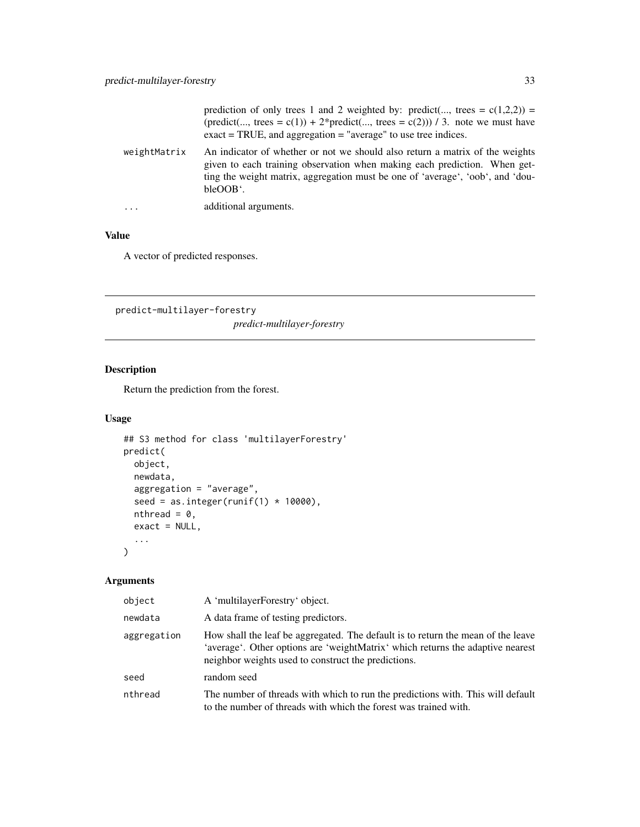<span id="page-32-0"></span>

|              | prediction of only trees 1 and 2 weighted by: predict(, trees = $c(1,2,2)$ ) =<br>(predict(, trees = c(1)) + 2*predict(, trees = c(2))) / 3. note we must have<br>$\text{exact} = \text{TRUE}$ , and aggregation = "average" to use tree indices.       |
|--------------|---------------------------------------------------------------------------------------------------------------------------------------------------------------------------------------------------------------------------------------------------------|
| weightMatrix | An indicator of whether or not we should also return a matrix of the weights<br>given to each training observation when making each prediction. When get-<br>ting the weight matrix, aggregation must be one of 'average', 'oob', and 'dou-<br>bleOOB'. |
| $\cdots$     | additional arguments.                                                                                                                                                                                                                                   |
|              |                                                                                                                                                                                                                                                         |

### Value

A vector of predicted responses.

predict-multilayer-forestry *predict-multilayer-forestry*

### Description

Return the prediction from the forest.

### Usage

```
## S3 method for class 'multilayerForestry'
predict(
 object,
 newdata,
 aggregation = "average",
  seed = as.integer(runif(1) * 10000),
 nthread = 0,
 exact = NULL,...
)
```

| object      | A 'multilayerForestry' object.                                                                                                                                                                                            |
|-------------|---------------------------------------------------------------------------------------------------------------------------------------------------------------------------------------------------------------------------|
| newdata     | A data frame of testing predictors.                                                                                                                                                                                       |
| aggregation | How shall the leaf be aggregated. The default is to return the mean of the leave<br>'average'. Other options are 'weightMatrix' which returns the adaptive nearest<br>neighbor weights used to construct the predictions. |
| seed        | random seed                                                                                                                                                                                                               |
| nthread     | The number of threads with which to run the predictions with. This will default<br>to the number of threads with which the forest was trained with.                                                                       |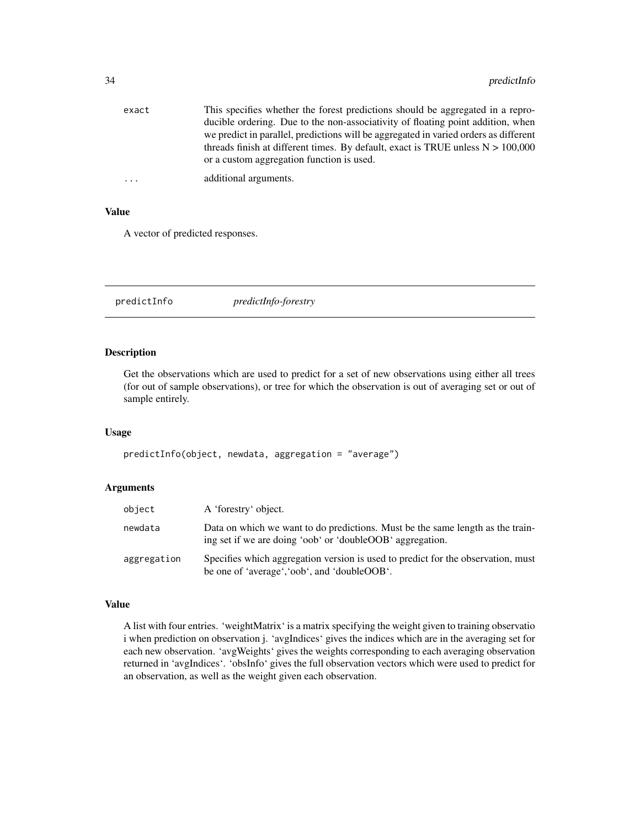<span id="page-33-0"></span>

| exact      | This specifies whether the forest predictions should be aggregated in a repro-       |
|------------|--------------------------------------------------------------------------------------|
|            | ducible ordering. Due to the non-associativity of floating point addition, when      |
|            | we predict in parallel, predictions will be aggregated in varied orders as different |
|            | threads finish at different times. By default, exact is TRUE unless $N > 100,000$    |
|            | or a custom aggregation function is used.                                            |
| $\ddots$ . | additional arguments.                                                                |

### Value

A vector of predicted responses.

predictInfo *predictInfo-forestry*

### Description

Get the observations which are used to predict for a set of new observations using either all trees (for out of sample observations), or tree for which the observation is out of averaging set or out of sample entirely.

#### Usage

predictInfo(object, newdata, aggregation = "average")

### Arguments

| object      | A 'forestry' object.                                                                                                                        |
|-------------|---------------------------------------------------------------------------------------------------------------------------------------------|
| newdata     | Data on which we want to do predictions. Must be the same length as the train-<br>ing set if we are doing 'oob' or 'doubleOOB' aggregation. |
| aggregation | Specifies which aggregation version is used to predict for the observation, must<br>be one of 'average', 'oob', and 'doubleOOB'.            |

#### Value

A list with four entries. 'weightMatrix' is a matrix specifying the weight given to training observatio i when prediction on observation j. 'avgIndices' gives the indices which are in the averaging set for each new observation. 'avgWeights' gives the weights corresponding to each averaging observation returned in 'avgIndices'. 'obsInfo' gives the full observation vectors which were used to predict for an observation, as well as the weight given each observation.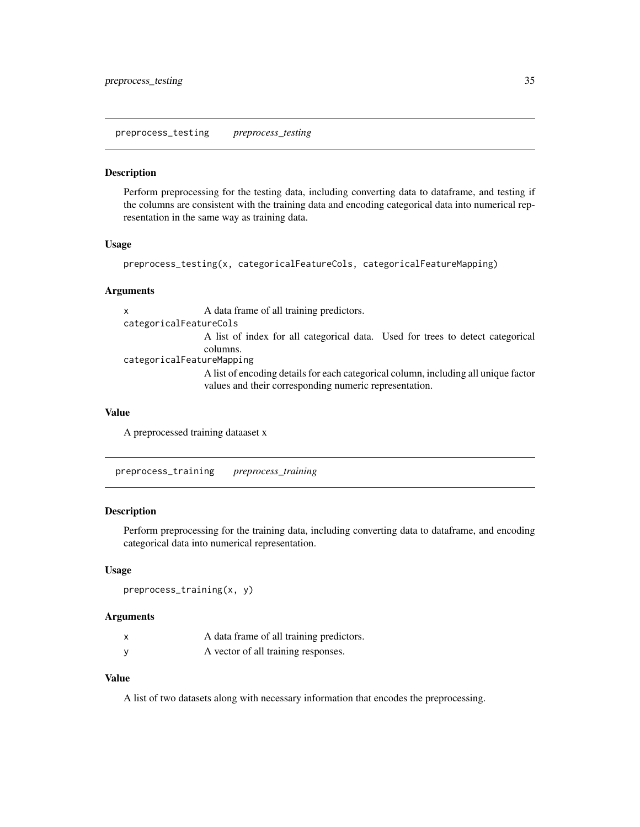<span id="page-34-0"></span>preprocess\_testing *preprocess\_testing*

#### Description

Perform preprocessing for the testing data, including converting data to dataframe, and testing if the columns are consistent with the training data and encoding categorical data into numerical representation in the same way as training data.

#### Usage

```
preprocess_testing(x, categoricalFeatureCols, categoricalFeatureMapping)
```
#### Arguments

x A data frame of all training predictors. categoricalFeatureCols A list of index for all categorical data. Used for trees to detect categorical columns. categoricalFeatureMapping

A list of encoding details for each categorical column, including all unique factor values and their corresponding numeric representation.

#### Value

A preprocessed training dataaset x

preprocess\_training *preprocess\_training*

### Description

Perform preprocessing for the training data, including converting data to dataframe, and encoding categorical data into numerical representation.

#### Usage

```
preprocess_training(x, y)
```
#### Arguments

|   | A data frame of all training predictors. |
|---|------------------------------------------|
| у | A vector of all training responses.      |

### Value

A list of two datasets along with necessary information that encodes the preprocessing.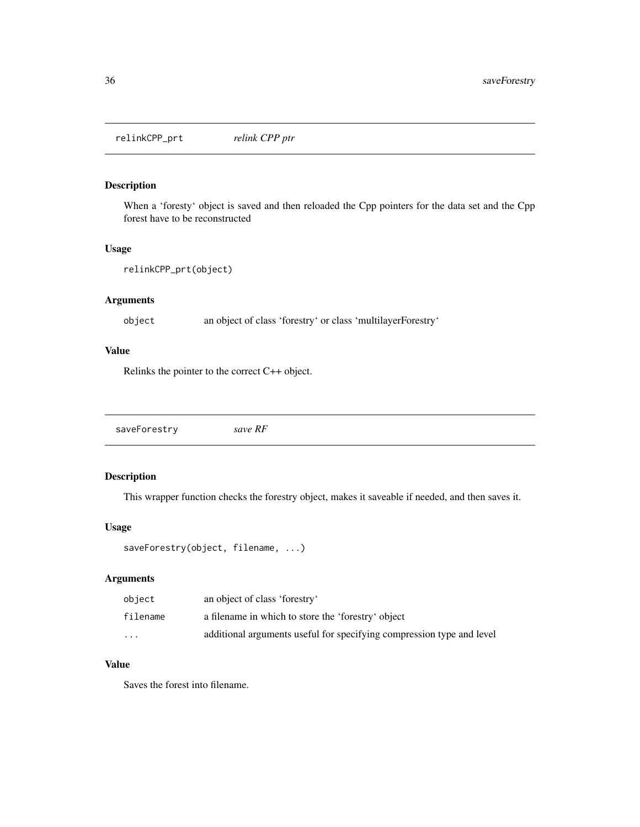<span id="page-35-0"></span>relinkCPP\_prt *relink CPP ptr*

### Description

When a 'foresty' object is saved and then reloaded the Cpp pointers for the data set and the Cpp forest have to be reconstructed

#### Usage

```
relinkCPP_prt(object)
```
### Arguments

object an object of class 'forestry' or class 'multilayerForestry'

### Value

Relinks the pointer to the correct C++ object.

saveForestry *save RF*

### Description

This wrapper function checks the forestry object, makes it saveable if needed, and then saves it.

### Usage

```
saveForestry(object, filename, ...)
```
### Arguments

| object   | an object of class 'forestry'                                         |
|----------|-----------------------------------------------------------------------|
| filename | a filename in which to store the 'forestry' object                    |
| $\cdots$ | additional arguments useful for specifying compression type and level |

#### Value

Saves the forest into filename.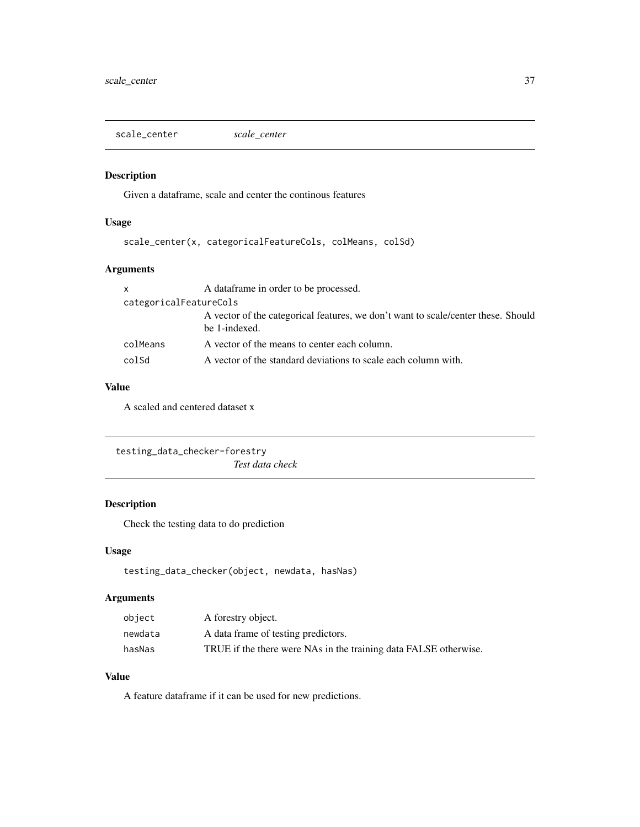<span id="page-36-0"></span>scale\_center *scale\_center*

#### Description

Given a dataframe, scale and center the continous features

### Usage

scale\_center(x, categoricalFeatureCols, colMeans, colSd)

### Arguments

| $\mathsf{x}$           | A dataframe in order to be processed.                                                              |  |
|------------------------|----------------------------------------------------------------------------------------------------|--|
| categoricalFeatureCols |                                                                                                    |  |
|                        | A vector of the categorical features, we don't want to scale/center these. Should<br>be 1-indexed. |  |
| colMeans               | A vector of the means to center each column.                                                       |  |
| colSd                  | A vector of the standard deviations to scale each column with.                                     |  |

### Value

A scaled and centered dataset x

```
testing_data_checker-forestry
                        Test data check
```
### Description

Check the testing data to do prediction

### Usage

```
testing_data_checker(object, newdata, hasNas)
```
### Arguments

| object  | A forestry object.                                               |
|---------|------------------------------------------------------------------|
| newdata | A data frame of testing predictors.                              |
| hasNas  | TRUE if the there were NAs in the training data FALSE otherwise. |

### Value

A feature dataframe if it can be used for new predictions.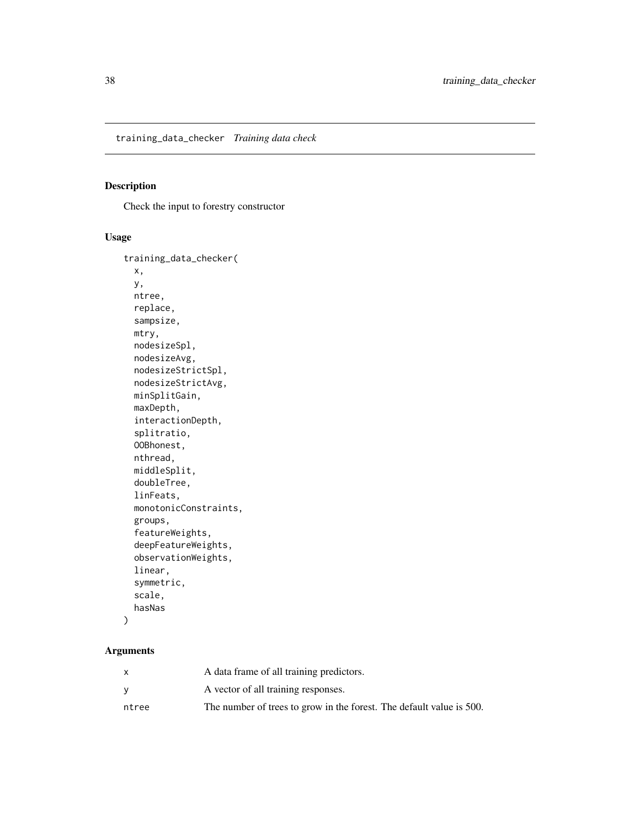<span id="page-37-0"></span>training\_data\_checker *Training data check*

#### Description

Check the input to forestry constructor

### Usage

```
training_data_checker(
 x,
 y,
 ntree,
 replace,
  sampsize,
 mtry,
 nodesizeSpl,
 nodesizeAvg,
 nodesizeStrictSpl,
 nodesizeStrictAvg,
 minSplitGain,
 maxDepth,
  interactionDepth,
  splitratio,
 OOBhonest,
  nthread,
 middleSplit,
  doubleTree,
  linFeats,
 monotonicConstraints,
 groups,
  featureWeights,
  deepFeatureWeights,
  observationWeights,
  linear,
  symmetric,
  scale,
 hasNas
\mathcal{L}
```

|       | A data frame of all training predictors.                             |
|-------|----------------------------------------------------------------------|
|       | A vector of all training responses.                                  |
| ntree | The number of trees to grow in the forest. The default value is 500. |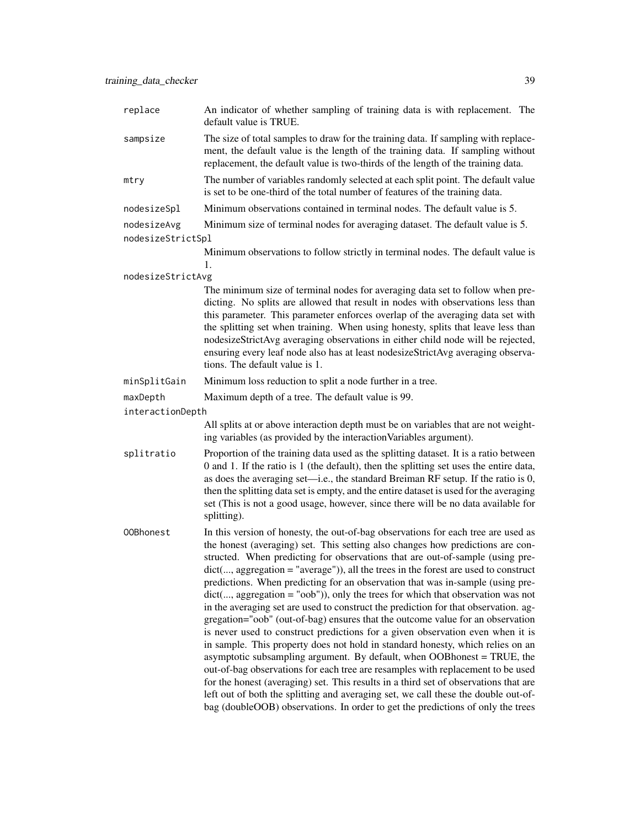| replace           | An indicator of whether sampling of training data is with replacement. The<br>default value is TRUE.                                                                                                                                                                                                                                                                                                                                                                                                                                                                                                                                                                                                                                                                                                                                                                                                                                                                                                                                                                                                                                                                                                                                                                                            |
|-------------------|-------------------------------------------------------------------------------------------------------------------------------------------------------------------------------------------------------------------------------------------------------------------------------------------------------------------------------------------------------------------------------------------------------------------------------------------------------------------------------------------------------------------------------------------------------------------------------------------------------------------------------------------------------------------------------------------------------------------------------------------------------------------------------------------------------------------------------------------------------------------------------------------------------------------------------------------------------------------------------------------------------------------------------------------------------------------------------------------------------------------------------------------------------------------------------------------------------------------------------------------------------------------------------------------------|
| sampsize          | The size of total samples to draw for the training data. If sampling with replace-<br>ment, the default value is the length of the training data. If sampling without<br>replacement, the default value is two-thirds of the length of the training data.                                                                                                                                                                                                                                                                                                                                                                                                                                                                                                                                                                                                                                                                                                                                                                                                                                                                                                                                                                                                                                       |
| mtry              | The number of variables randomly selected at each split point. The default value<br>is set to be one-third of the total number of features of the training data.                                                                                                                                                                                                                                                                                                                                                                                                                                                                                                                                                                                                                                                                                                                                                                                                                                                                                                                                                                                                                                                                                                                                |
| nodesizeSpl       | Minimum observations contained in terminal nodes. The default value is 5.                                                                                                                                                                                                                                                                                                                                                                                                                                                                                                                                                                                                                                                                                                                                                                                                                                                                                                                                                                                                                                                                                                                                                                                                                       |
| nodesizeAvg       | Minimum size of terminal nodes for averaging dataset. The default value is 5.                                                                                                                                                                                                                                                                                                                                                                                                                                                                                                                                                                                                                                                                                                                                                                                                                                                                                                                                                                                                                                                                                                                                                                                                                   |
| nodesizeStrictSpl |                                                                                                                                                                                                                                                                                                                                                                                                                                                                                                                                                                                                                                                                                                                                                                                                                                                                                                                                                                                                                                                                                                                                                                                                                                                                                                 |
|                   | Minimum observations to follow strictly in terminal nodes. The default value is<br>1.                                                                                                                                                                                                                                                                                                                                                                                                                                                                                                                                                                                                                                                                                                                                                                                                                                                                                                                                                                                                                                                                                                                                                                                                           |
| nodesizeStrictAvg |                                                                                                                                                                                                                                                                                                                                                                                                                                                                                                                                                                                                                                                                                                                                                                                                                                                                                                                                                                                                                                                                                                                                                                                                                                                                                                 |
|                   | The minimum size of terminal nodes for averaging data set to follow when pre-<br>dicting. No splits are allowed that result in nodes with observations less than<br>this parameter. This parameter enforces overlap of the averaging data set with<br>the splitting set when training. When using honesty, splits that leave less than<br>nodesizeStrictAvg averaging observations in either child node will be rejected,<br>ensuring every leaf node also has at least nodesizeStrictAvg averaging observa-<br>tions. The default value is 1.                                                                                                                                                                                                                                                                                                                                                                                                                                                                                                                                                                                                                                                                                                                                                  |
| minSplitGain      | Minimum loss reduction to split a node further in a tree.                                                                                                                                                                                                                                                                                                                                                                                                                                                                                                                                                                                                                                                                                                                                                                                                                                                                                                                                                                                                                                                                                                                                                                                                                                       |
| maxDepth          | Maximum depth of a tree. The default value is 99.                                                                                                                                                                                                                                                                                                                                                                                                                                                                                                                                                                                                                                                                                                                                                                                                                                                                                                                                                                                                                                                                                                                                                                                                                                               |
| interactionDepth  |                                                                                                                                                                                                                                                                                                                                                                                                                                                                                                                                                                                                                                                                                                                                                                                                                                                                                                                                                                                                                                                                                                                                                                                                                                                                                                 |
|                   | All splits at or above interaction depth must be on variables that are not weight-<br>ing variables (as provided by the interaction Variables argument).                                                                                                                                                                                                                                                                                                                                                                                                                                                                                                                                                                                                                                                                                                                                                                                                                                                                                                                                                                                                                                                                                                                                        |
| splitratio        | Proportion of the training data used as the splitting dataset. It is a ratio between<br>0 and 1. If the ratio is 1 (the default), then the splitting set uses the entire data,<br>as does the averaging set—i.e., the standard Breiman RF setup. If the ratio is 0,<br>then the splitting data set is empty, and the entire dataset is used for the averaging<br>set (This is not a good usage, however, since there will be no data available for<br>splitting).                                                                                                                                                                                                                                                                                                                                                                                                                                                                                                                                                                                                                                                                                                                                                                                                                               |
| 00Bhonest         | In this version of honesty, the out-of-bag observations for each tree are used as<br>the honest (averaging) set. This setting also changes how predictions are con-<br>structed. When predicting for observations that are out-of-sample (using pre-<br>dict(, aggregation = "average")), all the trees in the forest are used to construct<br>predictions. When predicting for an observation that was in-sample (using pre-<br>$dict(, aggregation = "oob"))$ , only the trees for which that observation was not<br>in the averaging set are used to construct the prediction for that observation. ag-<br>gregation="oob" (out-of-bag) ensures that the outcome value for an observation<br>is never used to construct predictions for a given observation even when it is<br>in sample. This property does not hold in standard honesty, which relies on an<br>asymptotic subsampling argument. By default, when OOBhonest = TRUE, the<br>out-of-bag observations for each tree are resamples with replacement to be used<br>for the honest (averaging) set. This results in a third set of observations that are<br>left out of both the splitting and averaging set, we call these the double out-of-<br>bag (doubleOOB) observations. In order to get the predictions of only the trees |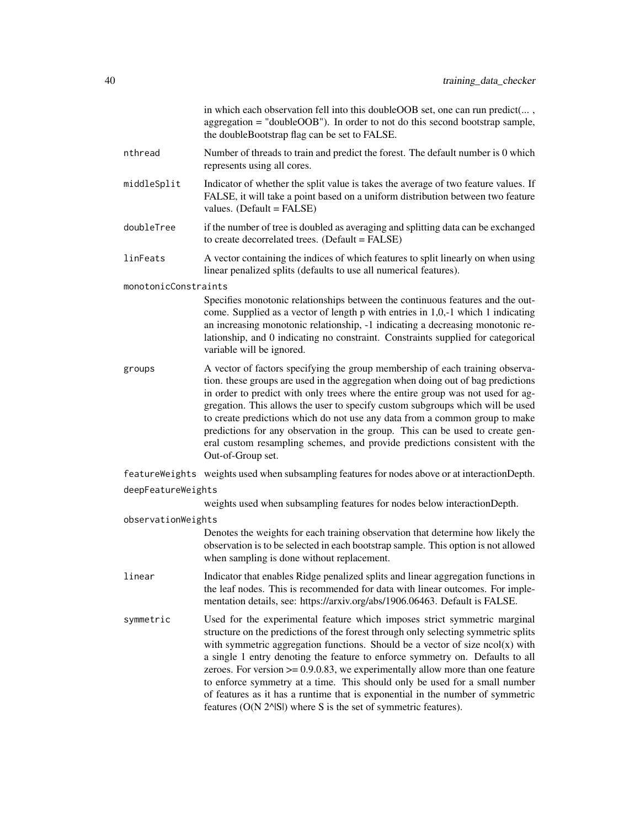|                      | in which each observation fell into this doubleOOB set, one can run predict(,<br>aggregation = "doubleOOB"). In order to not do this second bootstrap sample,<br>the doubleBootstrap flag can be set to FALSE.                                                                                                                                                                                                                                                                                                                                                                                                                                                |
|----------------------|---------------------------------------------------------------------------------------------------------------------------------------------------------------------------------------------------------------------------------------------------------------------------------------------------------------------------------------------------------------------------------------------------------------------------------------------------------------------------------------------------------------------------------------------------------------------------------------------------------------------------------------------------------------|
| nthread              | Number of threads to train and predict the forest. The default number is 0 which<br>represents using all cores.                                                                                                                                                                                                                                                                                                                                                                                                                                                                                                                                               |
| middleSplit          | Indicator of whether the split value is takes the average of two feature values. If<br>FALSE, it will take a point based on a uniform distribution between two feature<br>values. (Default = FALSE)                                                                                                                                                                                                                                                                                                                                                                                                                                                           |
| doubleTree           | if the number of tree is doubled as averaging and splitting data can be exchanged<br>to create decorrelated trees. (Default = FALSE)                                                                                                                                                                                                                                                                                                                                                                                                                                                                                                                          |
| linFeats             | A vector containing the indices of which features to split linearly on when using<br>linear penalized splits (defaults to use all numerical features).                                                                                                                                                                                                                                                                                                                                                                                                                                                                                                        |
| monotonicConstraints |                                                                                                                                                                                                                                                                                                                                                                                                                                                                                                                                                                                                                                                               |
|                      | Specifies monotonic relationships between the continuous features and the out-<br>come. Supplied as a vector of length p with entries in 1,0,-1 which 1 indicating<br>an increasing monotonic relationship, -1 indicating a decreasing monotonic re-<br>lationship, and 0 indicating no constraint. Constraints supplied for categorical<br>variable will be ignored.                                                                                                                                                                                                                                                                                         |
| groups               | A vector of factors specifying the group membership of each training observa-<br>tion. these groups are used in the aggregation when doing out of bag predictions<br>in order to predict with only trees where the entire group was not used for ag-<br>gregation. This allows the user to specify custom subgroups which will be used<br>to create predictions which do not use any data from a common group to make<br>predictions for any observation in the group. This can be used to create gen-<br>eral custom resampling schemes, and provide predictions consistent with the<br>Out-of-Group set.                                                    |
|                      | featureWeights weights used when subsampling features for nodes above or at interactionDepth.                                                                                                                                                                                                                                                                                                                                                                                                                                                                                                                                                                 |
| deepFeatureWeights   |                                                                                                                                                                                                                                                                                                                                                                                                                                                                                                                                                                                                                                                               |
|                      | weights used when subsampling features for nodes below interactionDepth.                                                                                                                                                                                                                                                                                                                                                                                                                                                                                                                                                                                      |
| observationWeights   |                                                                                                                                                                                                                                                                                                                                                                                                                                                                                                                                                                                                                                                               |
|                      | Denotes the weights for each training observation that determine how likely the<br>observation is to be selected in each bootstrap sample. This option is not allowed<br>when sampling is done without replacement.                                                                                                                                                                                                                                                                                                                                                                                                                                           |
| linear               | Indicator that enables Ridge penalized splits and linear aggregation functions in<br>the leaf nodes. This is recommended for data with linear outcomes. For imple-<br>mentation details, see: https://arxiv.org/abs/1906.06463. Default is FALSE.                                                                                                                                                                                                                                                                                                                                                                                                             |
| symmetric            | Used for the experimental feature which imposes strict symmetric marginal<br>structure on the predictions of the forest through only selecting symmetric splits<br>with symmetric aggregation functions. Should be a vector of size $ncol(x)$ with<br>a single 1 entry denoting the feature to enforce symmetry on. Defaults to all<br>zeroes. For version $\geq 0.9.0.83$ , we experimentally allow more than one feature<br>to enforce symmetry at a time. This should only be used for a small number<br>of features as it has a runtime that is exponential in the number of symmetric<br>features (O(N 2^ISI) where S is the set of symmetric features). |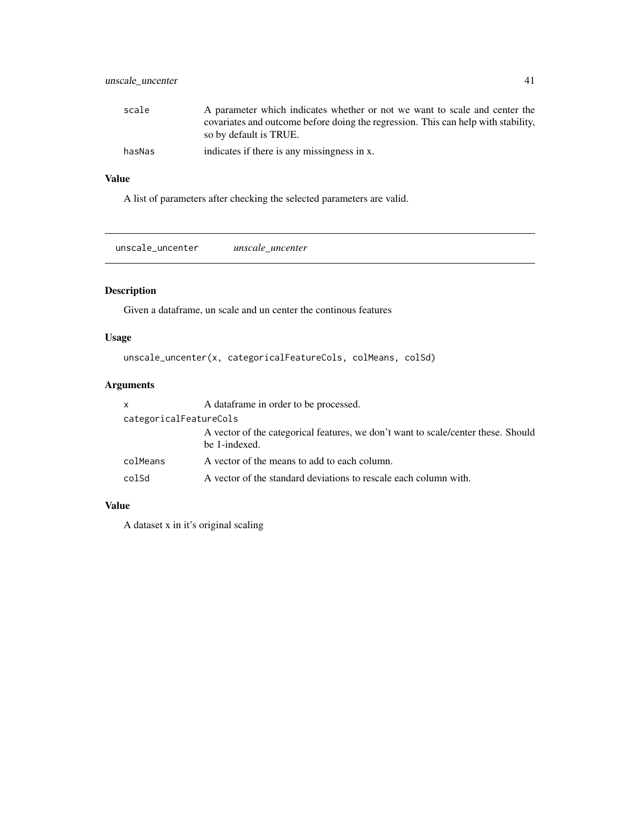### <span id="page-40-0"></span>unscale\_uncenter 41

| scale  | A parameter which indicates whether or not we want to scale and center the        |
|--------|-----------------------------------------------------------------------------------|
|        | covariates and outcome before doing the regression. This can help with stability, |
|        | so by default is TRUE.                                                            |
| hasNas | indicates if there is any missingness in x.                                       |

### Value

A list of parameters after checking the selected parameters are valid.

unscale\_uncenter *unscale\_uncenter*

### Description

Given a dataframe, un scale and un center the continous features

### Usage

```
unscale_uncenter(x, categoricalFeatureCols, colMeans, colSd)
```
### Arguments

| $\mathsf{x}$           | A data frame in order to be processed.                                                             |
|------------------------|----------------------------------------------------------------------------------------------------|
| categoricalFeatureCols |                                                                                                    |
|                        | A vector of the categorical features, we don't want to scale/center these. Should<br>be 1-indexed. |
| colMeans               | A vector of the means to add to each column.                                                       |
| colSd                  | A vector of the standard deviations to rescale each column with.                                   |

### Value

A dataset x in it's original scaling